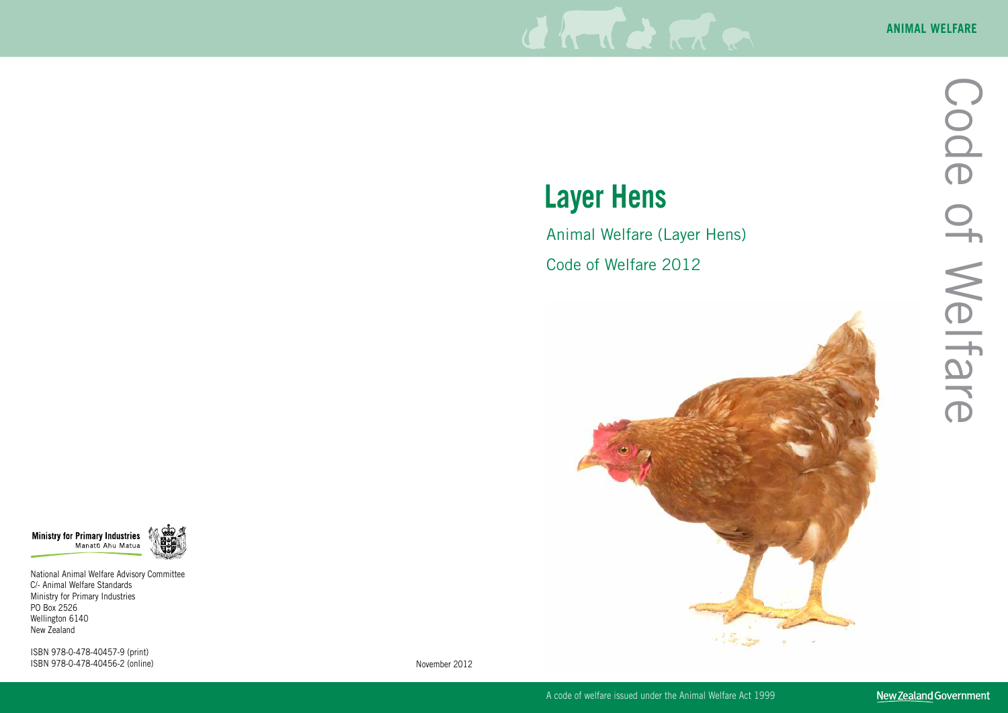

# **Layer Hens**

## Animal Welfare (Layer Hens)

Code of Welfare 2012



A code of welfare issued under the Animal Welfare Act 1999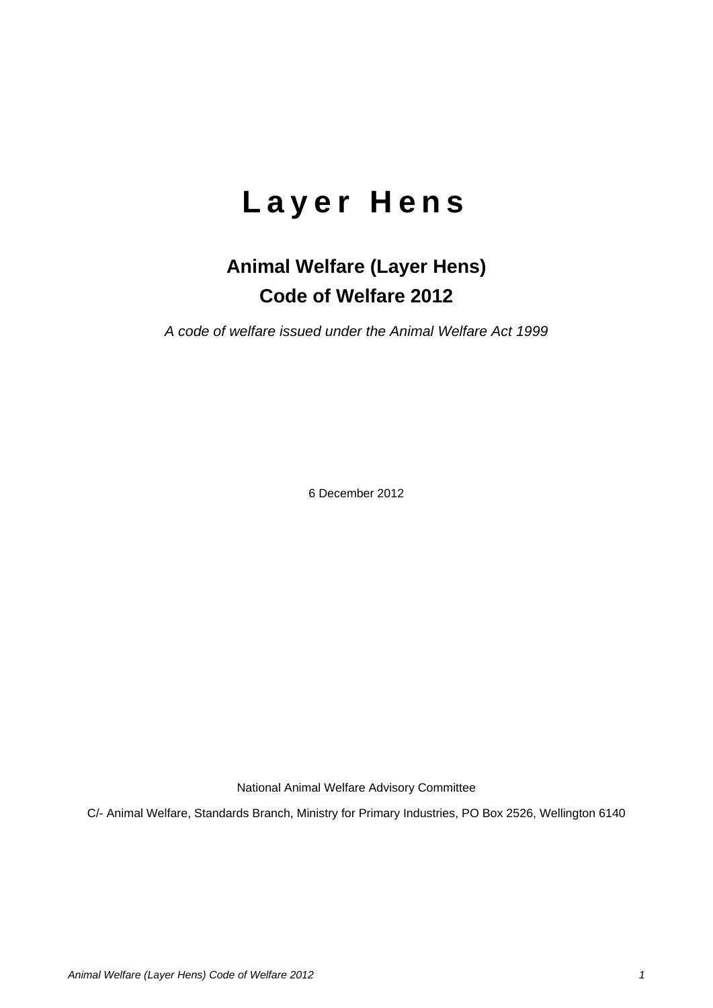## **Layer Hens**

## **Animal Welfare (Layer Hens) Code of Welfare 2012**

*A code of welfare issued under the Animal Welfare Act 1999*

6 December 2012

National Animal Welfare Advisory Committee

C/- Animal Welfare, Standards Branch, Ministry for Primary Industries, PO Box 2526, Wellington 6140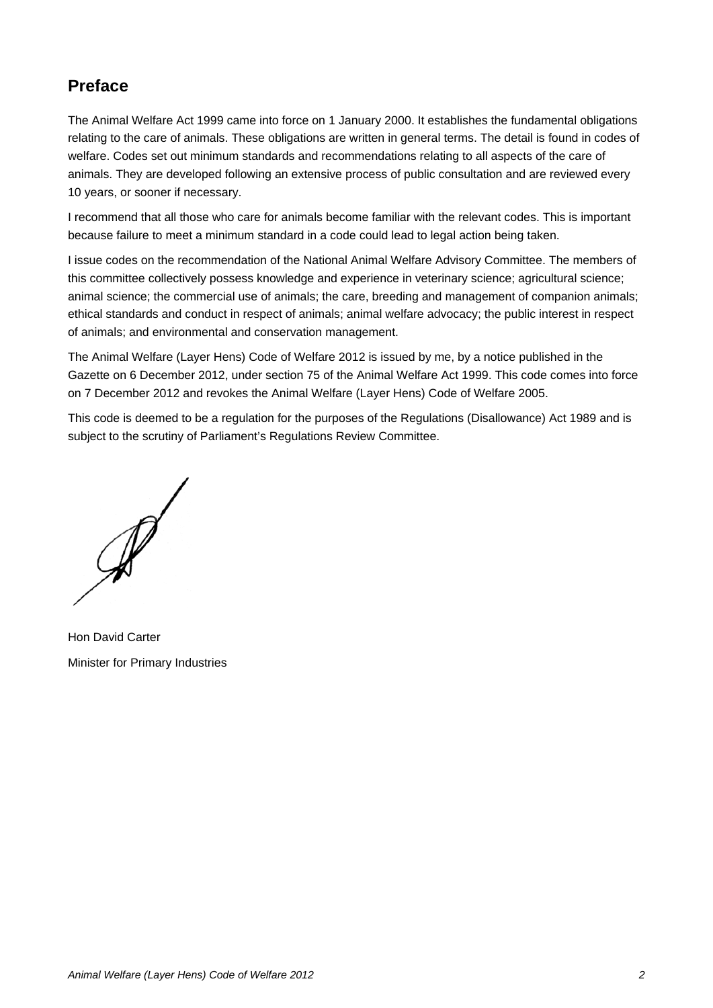## **Preface**

The Animal Welfare Act 1999 came into force on 1 January 2000. It establishes the fundamental obligations relating to the care of animals. These obligations are written in general terms. The detail is found in codes of welfare. Codes set out minimum standards and recommendations relating to all aspects of the care of animals. They are developed following an extensive process of public consultation and are reviewed every 10 years, or sooner if necessary.

I recommend that all those who care for animals become familiar with the relevant codes. This is important because failure to meet a minimum standard in a code could lead to legal action being taken.

I issue codes on the recommendation of the National Animal Welfare Advisory Committee. The members of this committee collectively possess knowledge and experience in veterinary science; agricultural science; animal science; the commercial use of animals; the care, breeding and management of companion animals; ethical standards and conduct in respect of animals; animal welfare advocacy; the public interest in respect of animals; and environmental and conservation management.

The Animal Welfare (Layer Hens) Code of Welfare 2012 is issued by me, by a notice published in the Gazette on 6 December 2012, under section 75 of the Animal Welfare Act 1999. This code comes into force on 7 December 2012 and revokes the Animal Welfare (Layer Hens) Code of Welfare 2005.

This code is deemed to be a regulation for the purposes of the Regulations (Disallowance) Act 1989 and is subject to the scrutiny of Parliament's Regulations Review Committee.

Hon David Carter Minister for Primary Industries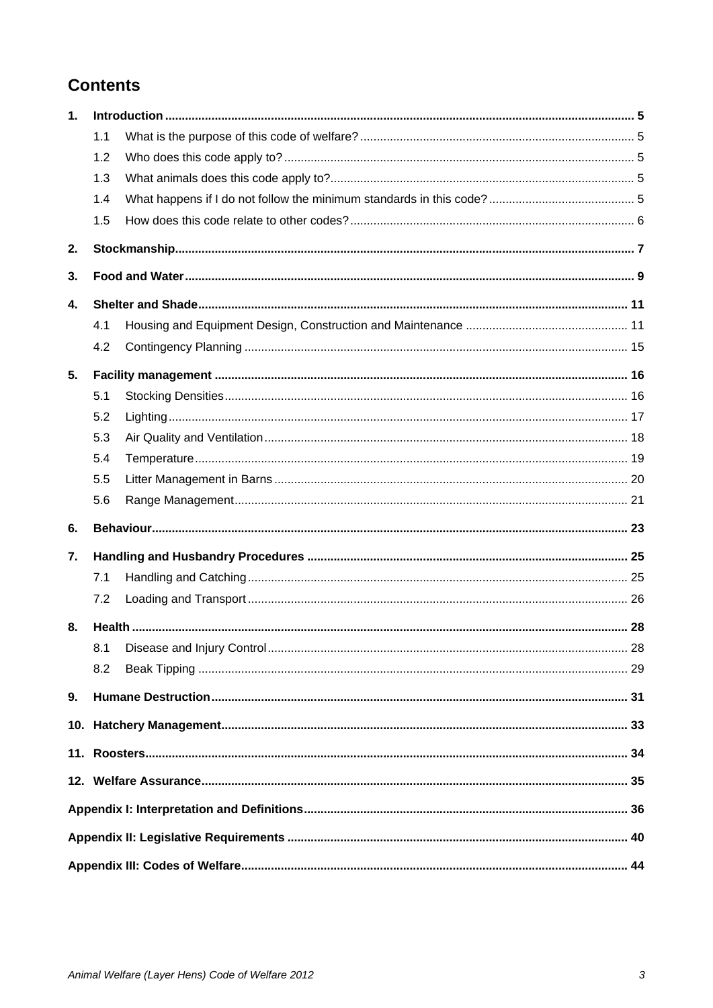## **Contents**

| 1. |     |  |  |
|----|-----|--|--|
|    | 1.1 |  |  |
|    | 1.2 |  |  |
|    | 1.3 |  |  |
|    | 1.4 |  |  |
|    | 1.5 |  |  |
| 2. |     |  |  |
| 3. |     |  |  |
| 4. |     |  |  |
|    | 4.1 |  |  |
|    | 4.2 |  |  |
| 5. |     |  |  |
|    | 5.1 |  |  |
|    | 5.2 |  |  |
|    | 5.3 |  |  |
|    | 5.4 |  |  |
|    | 5.5 |  |  |
|    | 5.6 |  |  |
| 6. |     |  |  |
| 7. |     |  |  |
|    | 7.1 |  |  |
|    | 7.2 |  |  |
| 8. |     |  |  |
|    |     |  |  |
|    | 8.2 |  |  |
| 9. |     |  |  |
|    |     |  |  |
|    |     |  |  |
|    |     |  |  |
|    |     |  |  |
|    |     |  |  |
|    |     |  |  |
|    |     |  |  |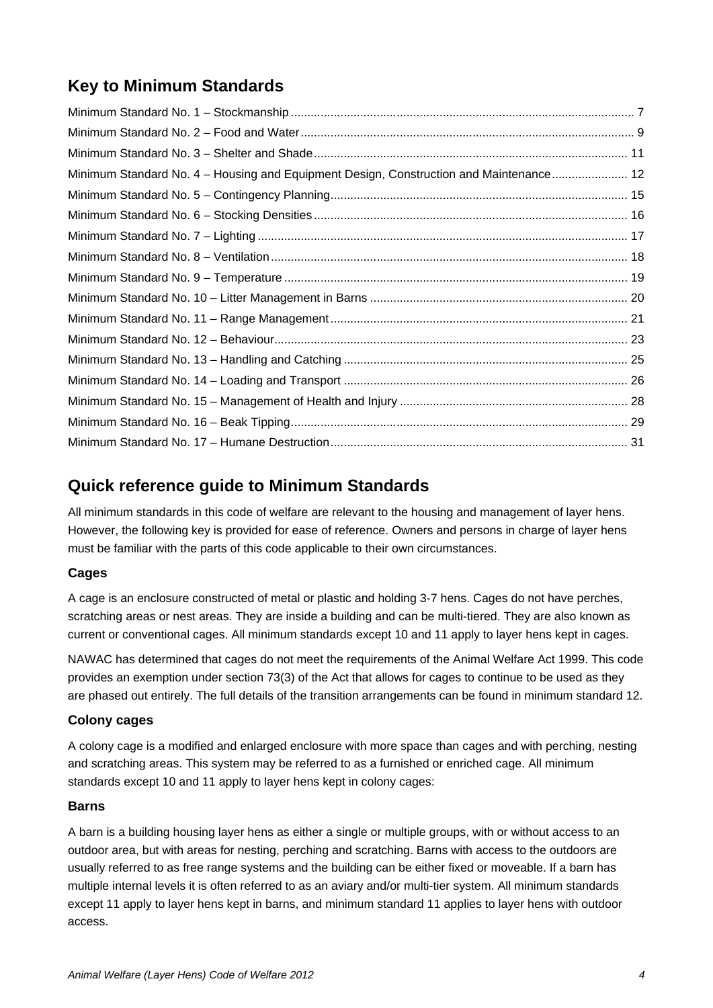## **Key to Minimum Standards**

| Minimum Standard No. 4 - Housing and Equipment Design, Construction and Maintenance 12 |  |
|----------------------------------------------------------------------------------------|--|
|                                                                                        |  |
|                                                                                        |  |
|                                                                                        |  |
|                                                                                        |  |
|                                                                                        |  |
|                                                                                        |  |
|                                                                                        |  |
|                                                                                        |  |
|                                                                                        |  |
|                                                                                        |  |
|                                                                                        |  |
|                                                                                        |  |
|                                                                                        |  |

## **Quick reference guide to Minimum Standards**

All minimum standards in this code of welfare are relevant to the housing and management of layer hens. However, the following key is provided for ease of reference. Owners and persons in charge of layer hens must be familiar with the parts of this code applicable to their own circumstances.

## **Cages**

A cage is an enclosure constructed of metal or plastic and holding 3-7 hens. Cages do not have perches, scratching areas or nest areas. They are inside a building and can be multi-tiered. They are also known as current or conventional cages. All minimum standards except 10 and 11 apply to layer hens kept in cages.

NAWAC has determined that cages do not meet the requirements of the Animal Welfare Act 1999. This code provides an exemption under section 73(3) of the Act that allows for cages to continue to be used as they are phased out entirely. The full details of the transition arrangements can be found in minimum standard 12.

## **Colony cages**

A colony cage is a modified and enlarged enclosure with more space than cages and with perching, nesting and scratching areas. This system may be referred to as a furnished or enriched cage. All minimum standards except 10 and 11 apply to layer hens kept in colony cages:

#### **Barns**

A barn is a building housing layer hens as either a single or multiple groups, with or without access to an outdoor area, but with areas for nesting, perching and scratching. Barns with access to the outdoors are usually referred to as free range systems and the building can be either fixed or moveable. If a barn has multiple internal levels it is often referred to as an aviary and/or multi-tier system. All minimum standards except 11 apply to layer hens kept in barns, and minimum standard 11 applies to layer hens with outdoor access.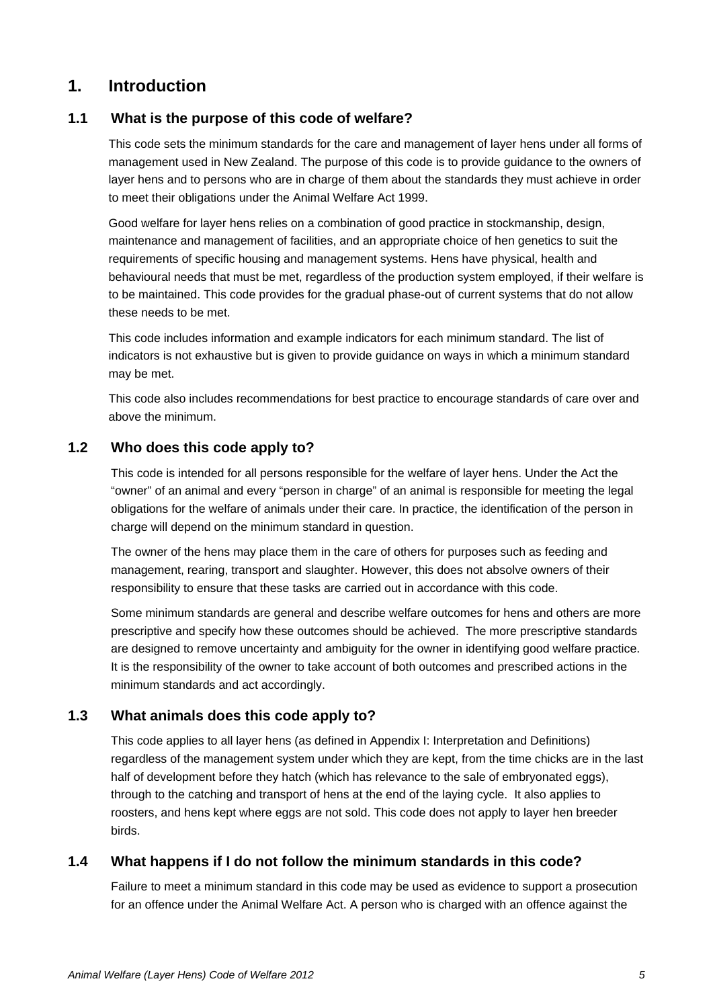## **1. Introduction**

## **1.1 What is the purpose of this code of welfare?**

This code sets the minimum standards for the care and management of layer hens under all forms of management used in New Zealand. The purpose of this code is to provide guidance to the owners of layer hens and to persons who are in charge of them about the standards they must achieve in order to meet their obligations under the Animal Welfare Act 1999.

Good welfare for layer hens relies on a combination of good practice in stockmanship, design, maintenance and management of facilities, and an appropriate choice of hen genetics to suit the requirements of specific housing and management systems. Hens have physical, health and behavioural needs that must be met, regardless of the production system employed, if their welfare is to be maintained. This code provides for the gradual phase-out of current systems that do not allow these needs to be met.

This code includes information and example indicators for each minimum standard. The list of indicators is not exhaustive but is given to provide guidance on ways in which a minimum standard may be met.

This code also includes recommendations for best practice to encourage standards of care over and above the minimum.

## **1.2 Who does this code apply to?**

This code is intended for all persons responsible for the welfare of layer hens. Under the Act the "owner" of an animal and every "person in charge" of an animal is responsible for meeting the legal obligations for the welfare of animals under their care. In practice, the identification of the person in charge will depend on the minimum standard in question.

The owner of the hens may place them in the care of others for purposes such as feeding and management, rearing, transport and slaughter. However, this does not absolve owners of their responsibility to ensure that these tasks are carried out in accordance with this code.

Some minimum standards are general and describe welfare outcomes for hens and others are more prescriptive and specify how these outcomes should be achieved. The more prescriptive standards are designed to remove uncertainty and ambiguity for the owner in identifying good welfare practice. It is the responsibility of the owner to take account of both outcomes and prescribed actions in the minimum standards and act accordingly.

## **1.3 What animals does this code apply to?**

This code applies to all layer hens (as defined in [Appendix I: Interpretation and](#page-36-0) Definitions) regardless of the management system under which they are kept, from the time chicks are in the last half of development before they hatch (which has relevance to the sale of embryonated eggs), through to the catching and transport of hens at the end of the laying cycle. It also applies to roosters, and hens kept where eggs are not sold. This code does not apply to layer hen breeder birds.

## **1.4 What happens if I do not follow the minimum standards in this code?**

Failure to meet a minimum standard in this code may be used as evidence to support a prosecution for an offence under the Animal Welfare Act. A person who is charged with an offence against the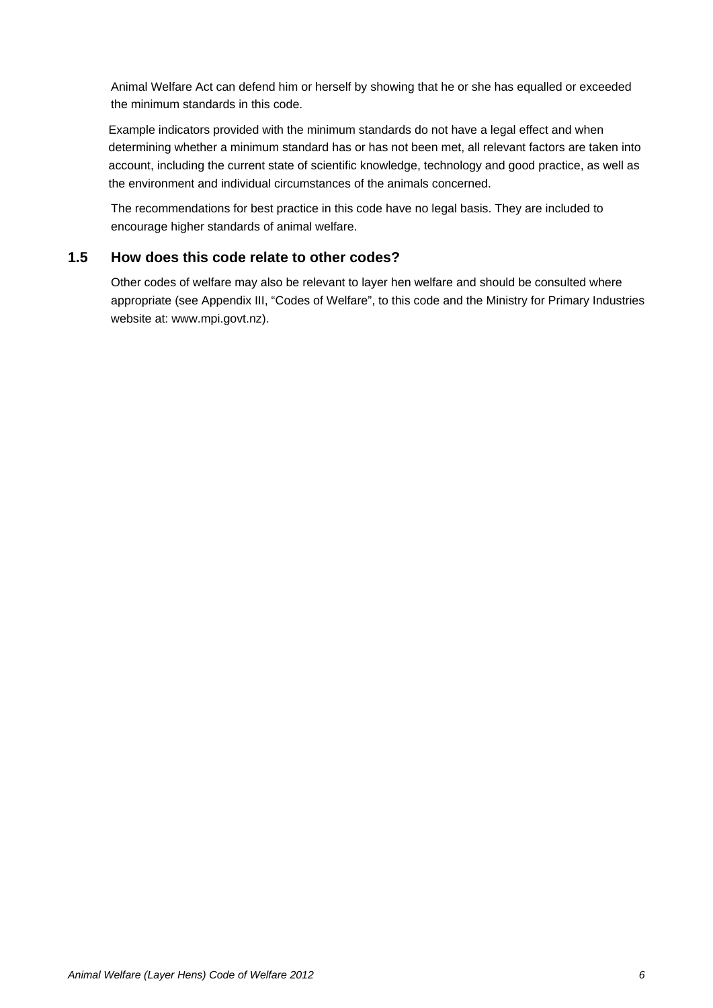Animal Welfare Act can defend him or herself by showing that he or she has equalled or exceeded the minimum standards in this code.

Example indicators provided with the minimum standards do not have a legal effect and when determining whether a minimum standard has or has not been met, all relevant factors are taken into account, including the current state of scientific knowledge, technology and good practice, as well as the environment and individual circumstances of the animals concerned.

The recommendations for best practice in this code have no legal basis. They are included to encourage higher standards of animal welfare.

## **1.5 How does this code relate to other codes?**

Other codes of welfare may also be relevant to layer hen welfare and should be consulted where appropriate (see Appendix III, "Codes of Welfare", to this code and the Ministry for Primary Industries website at: www.mpi.govt.nz).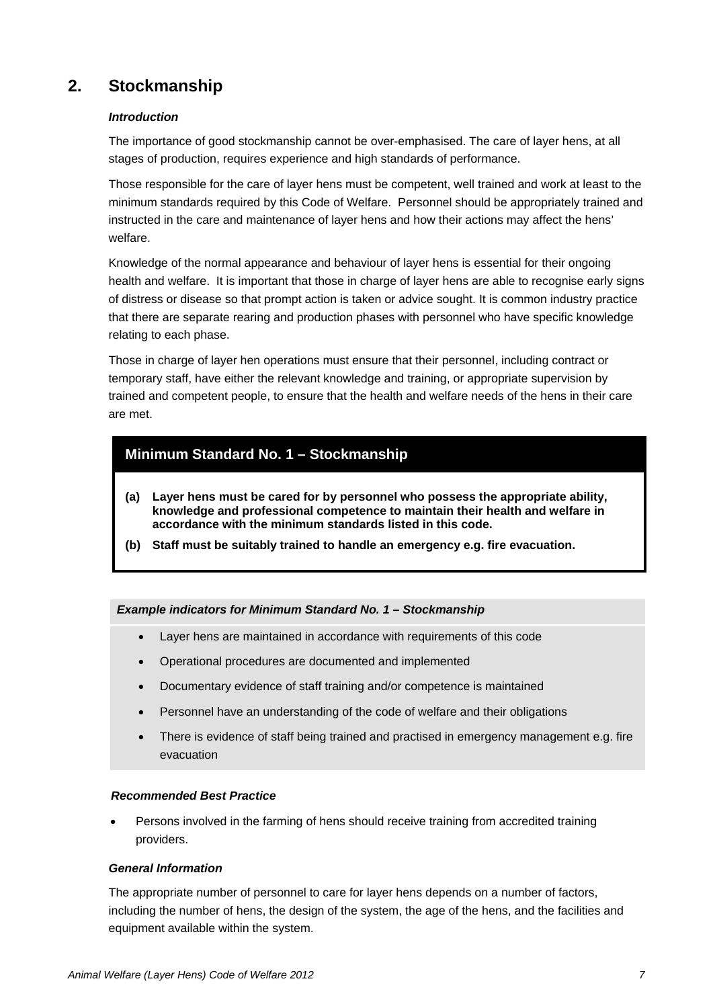## **2. Stockmanship**

#### *Introduction*

The importance of good stockmanship cannot be over-emphasised. The care of layer hens, at all stages of production, requires experience and high standards of performance.

Those responsible for the care of layer hens must be competent, well trained and work at least to the minimum standards required by this Code of Welfare. Personnel should be appropriately trained and instructed in the care and maintenance of layer hens and how their actions may affect the hens' welfare.

Knowledge of the normal appearance and behaviour of layer hens is essential for their ongoing health and welfare. It is important that those in charge of layer hens are able to recognise early signs of distress or disease so that prompt action is taken or advice sought. It is common industry practice that there are separate rearing and production phases with personnel who have specific knowledge relating to each phase.

Those in charge of layer hen operations must ensure that their personnel, including contract or temporary staff, have either the relevant knowledge and training, or appropriate supervision by trained and competent people, to ensure that the health and welfare needs of the hens in their care are met.

## <span id="page-7-0"></span>**Minimum Standard No. 1 – Stockmanship**

- **(a) Layer hens must be cared for by personnel who possess the appropriate ability, knowledge and professional competence to maintain their health and welfare in accordance with the minimum standards listed in this code.**
- **(b) Staff must be suitably trained to handle an emergency e.g. fire evacuation.**

#### *Example indicators for Minimum Standard No. 1 – Stockmanship*

- Layer hens are maintained in accordance with requirements of this code
- Operational procedures are documented and implemented
- Documentary evidence of staff training and/or competence is maintained
- Personnel have an understanding of the code of welfare and their obligations
- There is evidence of staff being trained and practised in emergency management e.g. fire evacuation

#### *Recommended Best Practice*

• Persons involved in the farming of hens should receive training from accredited training providers.

#### *General Information*

The appropriate number of personnel to care for layer hens depends on a number of factors, including the number of hens, the design of the system, the age of the hens, and the facilities and equipment available within the system.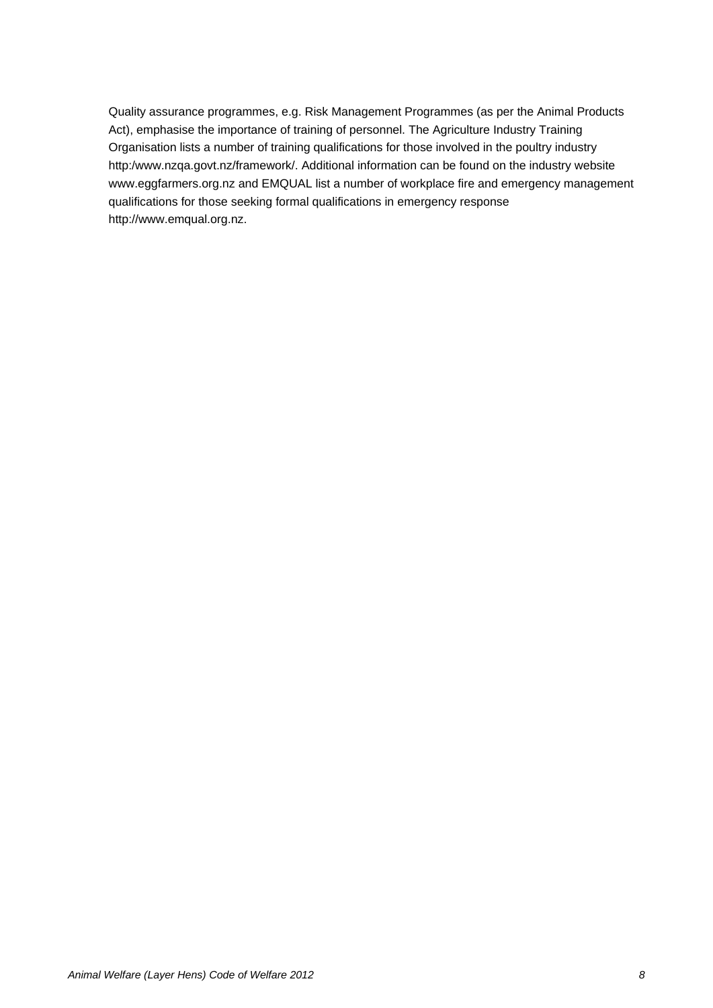Quality assurance programmes, e.g. Risk Management Programmes (as per the Animal Products Act), emphasise the importance of training of personnel. The Agriculture Industry Training Organisation lists a number of training qualifications for those involved in the poultry industry http:/www.nzqa.govt.nz/framework/. Additional information can be found on the industry website [www.eggfarmers.org.nz](http://www.eggfarmers.org.nz/) and EMQUAL list a number of workplace fire and emergency management qualifications for those seeking formal qualifications in emergency response [http://www.emqual.org.nz.](http://www.emqual.org.nz/)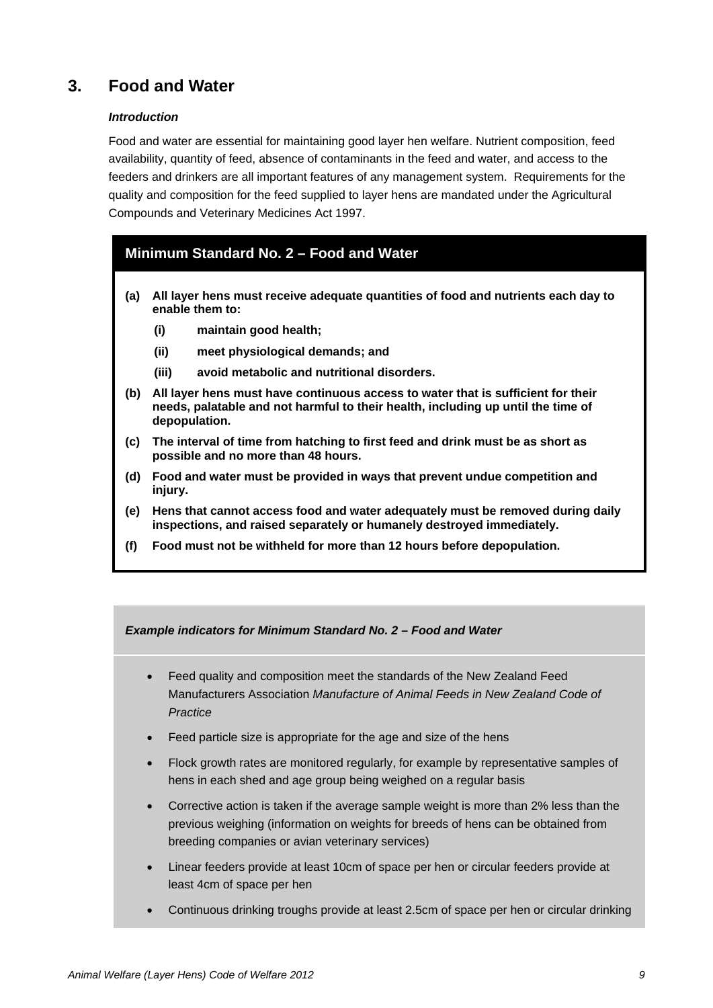## **3. Food and Water**

#### *Introduction*

Food and water are essential for maintaining good layer hen welfare. Nutrient composition, feed availability, quantity of feed, absence of contaminants in the feed and water, and access to the feeders and drinkers are all important features of any management system. Requirements for the quality and composition for the feed supplied to layer hens are mandated under the Agricultural Compounds and Veterinary Medicines Act 1997.

## <span id="page-9-0"></span>**Minimum Standard No. 2 – Food and Water**

- **(a) All layer hens must receive adequate quantities of food and nutrients each day to enable them to:**
	- **(i) maintain good health;**
	- **(ii) meet physiological demands; and**
	- **(iii) avoid metabolic and nutritional disorders.**
- **(b) All layer hens must have continuous access to water that is sufficient for their needs, palatable and not harmful to their health, including up until the time of depopulation.**
- **(c) The interval of time from hatching to first feed and drink must be as short as possible and no more than 48 hours.**
- **(d) Food and water must be provided in ways that prevent undue competition and injury.**
- **(e) Hens that cannot access food and water adequately must be removed during daily inspections, and raised separately or humanely destroyed immediately.**
- **(f) Food must not be withheld for more than 12 hours before depopulation.**

*Example indicators for Minimum Standard No. 2 – Food and Water*

- Feed quality and composition meet the standards of the New Zealand Feed Manufacturers Association *Manufacture of Animal Feeds in New Zealand Code of Practice*
- Feed particle size is appropriate for the age and size of the hens
- Flock growth rates are monitored regularly, for example by representative samples of hens in each shed and age group being weighed on a regular basis
- Corrective action is taken if the average sample weight is more than 2% less than the previous weighing (information on weights for breeds of hens can be obtained from breeding companies or avian veterinary services)
- Linear feeders provide at least 10cm of space per hen or circular feeders provide at least 4cm of space per hen
- Continuous drinking troughs provide at least 2.5cm of space per hen or circular drinking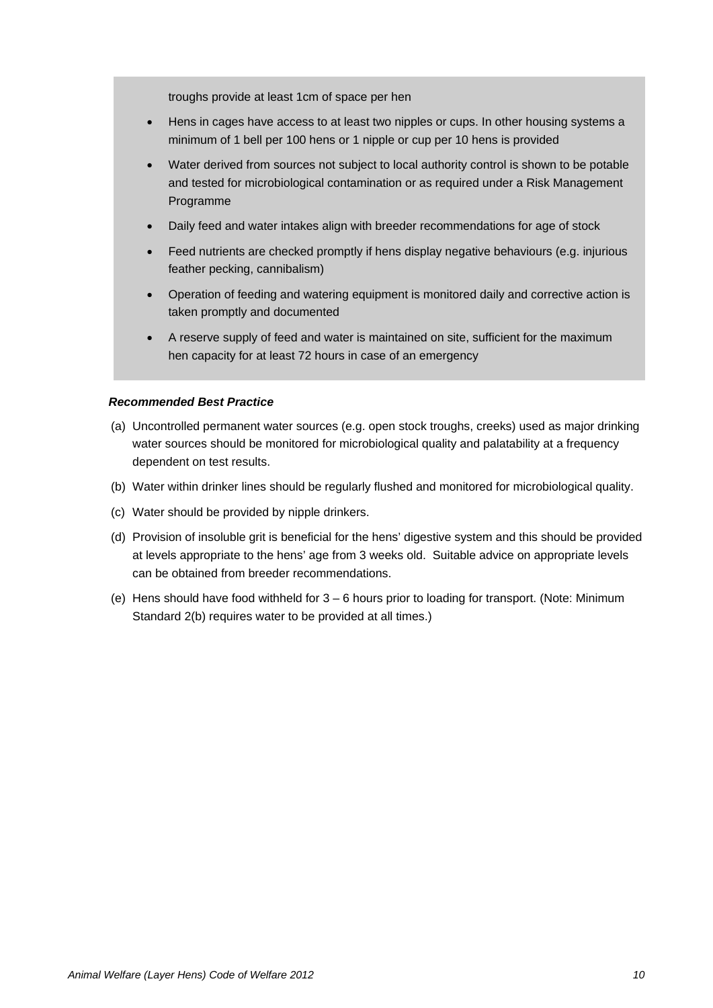troughs provide at least 1cm of space per hen

- Hens in cages have access to at least two nipples or cups. In other housing systems a minimum of 1 bell per 100 hens or 1 nipple or cup per 10 hens is provided
- Water derived from sources not subject to local authority control is shown to be potable and tested for microbiological contamination or as required under a Risk Management Programme
- Daily feed and water intakes align with breeder recommendations for age of stock
- Feed nutrients are checked promptly if hens display negative behaviours (e.g. injurious feather pecking, cannibalism)
- Operation of feeding and watering equipment is monitored daily and corrective action is taken promptly and documented
- A reserve supply of feed and water is maintained on site, sufficient for the maximum hen capacity for at least 72 hours in case of an emergency

#### *Recommended Best Practice*

- (a) Uncontrolled permanent water sources (e.g. open stock troughs, creeks) used as major drinking water sources should be monitored for microbiological quality and palatability at a frequency dependent on test results.
- (b) Water within drinker lines should be regularly flushed and monitored for microbiological quality.
- (c) Water should be provided by nipple drinkers.
- (d) Provision of insoluble grit is beneficial for the hens' digestive system and this should be provided at levels appropriate to the hens' age from 3 weeks old. Suitable advice on appropriate levels can be obtained from breeder recommendations.
- (e) Hens should have food withheld for 3 6 hours prior to loading for transport. (Note: Minimum Standard 2(b) requires water to be provided at all times.)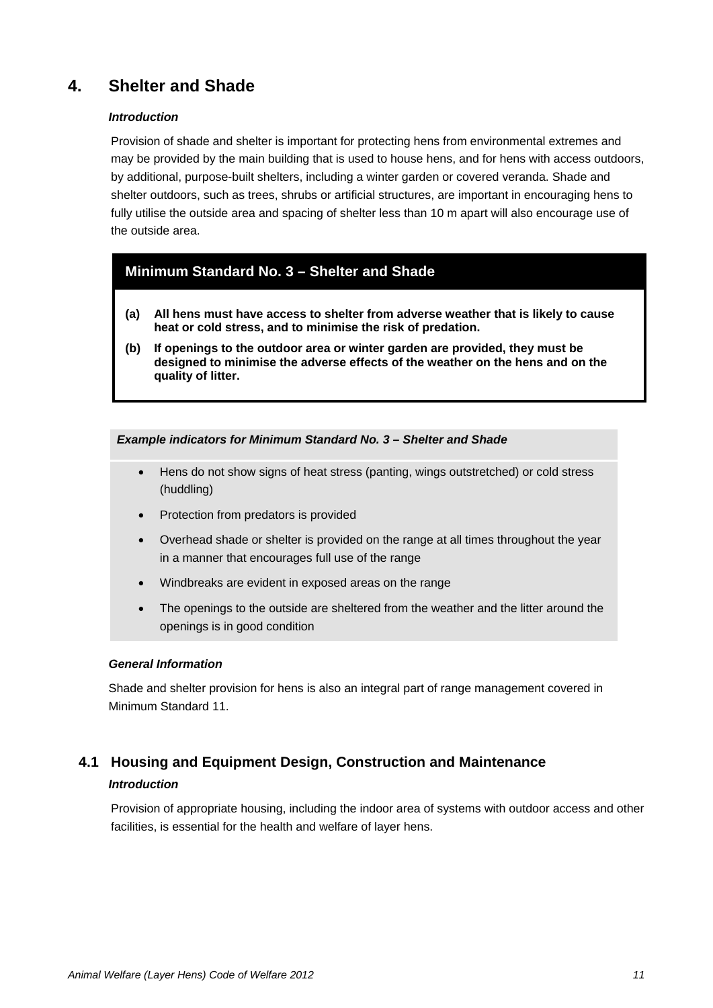## **4. Shelter and Shade**

#### *Introduction*

Provision of shade and shelter is important for protecting hens from environmental extremes and may be provided by the main building that is used to house hens, and for hens with access outdoors, by additional, purpose-built shelters, including a winter garden or covered veranda. Shade and shelter outdoors, such as trees, shrubs or artificial structures, are important in encouraging hens to fully utilise the outside area and spacing of shelter less than 10 m apart will also encourage use of the outside area.

## <span id="page-11-0"></span>**Minimum Standard No. 3 – Shelter and Shade**

- **(a) All hens must have access to shelter from adverse weather that is likely to cause heat or cold stress, and to minimise the risk of predation.**
- **(b) If openings to the outdoor area or winter garden are provided, they must be designed to minimise the adverse effects of the weather on the hens and on the quality of litter.**

#### *Example indicators for Minimum Standard No. 3 – Shelter and Shade*

- Hens do not show signs of heat stress (panting, wings outstretched) or cold stress (huddling)
- Protection from predators is provided
- Overhead shade or shelter is provided on the range at all times throughout the year in a manner that encourages full use of the range
- Windbreaks are evident in exposed areas on the range
- The openings to the outside are sheltered from the weather and the litter around the openings is in good condition

#### *General Information*

Shade and shelter provision for hens is also an integral part of range management covered in Minimum Standard 11.

## **4.1 Housing and Equipment Design, Construction and Maintenance**

#### *Introduction*

Provision of appropriate housing, including the indoor area of systems with outdoor access and other facilities, is essential for the health and welfare of layer hens.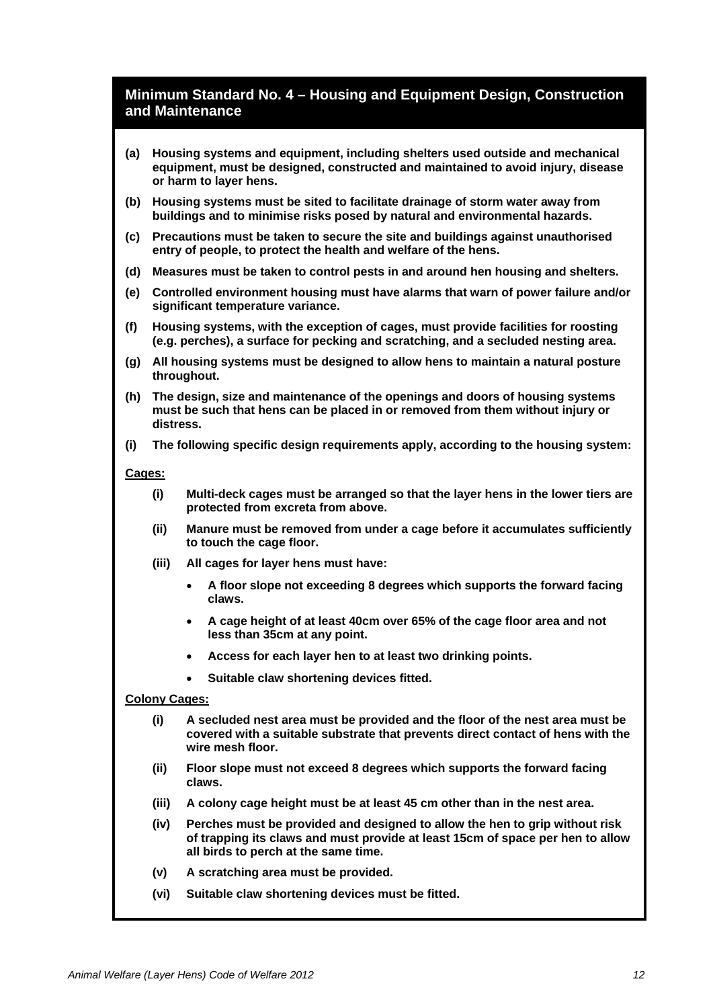## <span id="page-12-0"></span>**Minimum Standard No. 4 – Housing and Equipment Design, Construction and Maintenance**

- **(a) Housing systems and equipment, including shelters used outside and mechanical equipment, must be designed, constructed and maintained to avoid injury, disease or harm to layer hens.**
- **(b) Housing systems must be sited to facilitate drainage of storm water away from buildings and to minimise risks posed by natural and environmental hazards.**
- **(c) Precautions must be taken to secure the site and buildings against unauthorised entry of people, to protect the health and welfare of the hens.**
- **(d) Measures must be taken to control pests in and around hen housing and shelters.**
- **(e) Controlled environment housing must have alarms that warn of power failure and/or significant temperature variance.**
- **(f) Housing systems, with the exception of cages, must provide facilities for roosting (e.g. perches), a surface for pecking and scratching, and a secluded nesting area.**
- **(g) All housing systems must be designed to allow hens to maintain a natural posture throughout.**
- **(h) The design, size and maintenance of the openings and doors of housing systems must be such that hens can be placed in or removed from them without injury or distress.**
- **(i) The following specific design requirements apply, according to the housing system:**

#### **Cages:**

- **(i) Multi-deck cages must be arranged so that the layer hens in the lower tiers are protected from excreta from above.**
- **(ii) Manure must be removed from under a cage before it accumulates sufficiently to touch the cage floor.**
- **(iii) All cages for layer hens must have:**
	- **A floor slope not exceeding 8 degrees which supports the forward facing claws.**
	- **A cage height of at least 40cm over 65% of the cage floor area and not less than 35cm at any point.**
	- **Access for each layer hen to at least two drinking points.**
	- **Suitable claw shortening devices fitted.**

#### **Colony Cages:**

- **(i) A secluded nest area must be provided and the floor of the nest area must be covered with a suitable substrate that prevents direct contact of hens with the wire mesh floor.**
- **(ii) Floor slope must not exceed 8 degrees which supports the forward facing claws.**
- **(iii) A colony cage height must be at least 45 cm other than in the nest area.**
- **(iv) Perches must be provided and designed to allow the hen to grip without risk of trapping its claws and must provide at least 15cm of space per hen to allow all birds to perch at the same time.**
- **(v) A scratching area must be provided.**
- **(vi) Suitable claw shortening devices must be fitted.**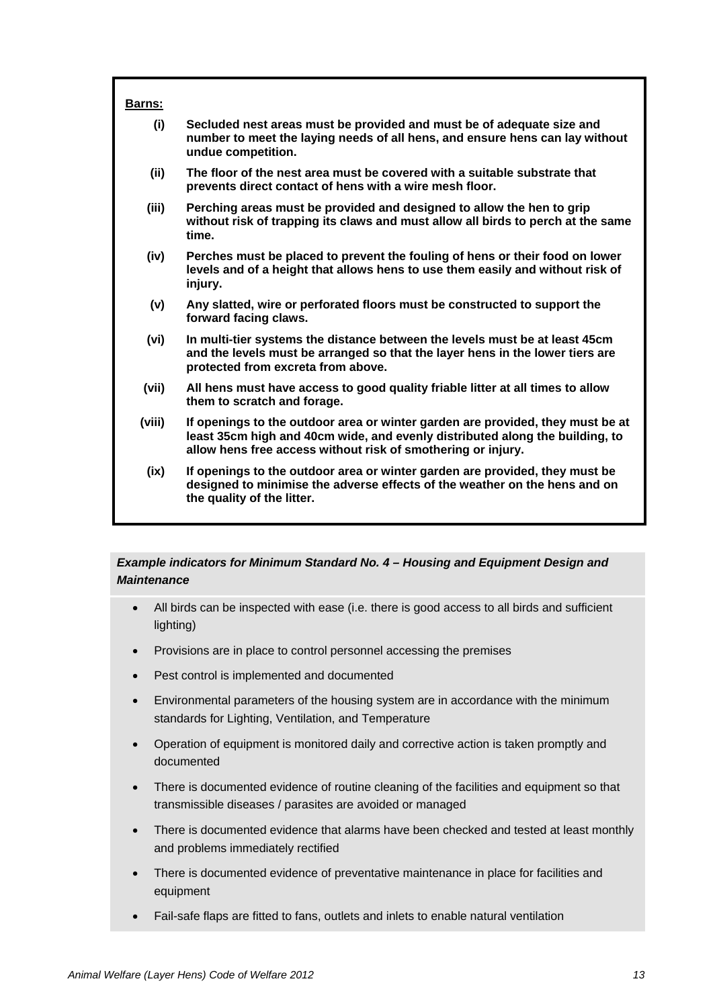| <b>Barns:</b> |                                                                                                                                                                                                                                |
|---------------|--------------------------------------------------------------------------------------------------------------------------------------------------------------------------------------------------------------------------------|
| (i)           | Secluded nest areas must be provided and must be of adequate size and<br>number to meet the laying needs of all hens, and ensure hens can lay without<br>undue competition.                                                    |
| (ii)          | The floor of the nest area must be covered with a suitable substrate that<br>prevents direct contact of hens with a wire mesh floor.                                                                                           |
| (iii)         | Perching areas must be provided and designed to allow the hen to grip<br>without risk of trapping its claws and must allow all birds to perch at the same<br>time.                                                             |
| (iv)          | Perches must be placed to prevent the fouling of hens or their food on lower<br>levels and of a height that allows hens to use them easily and without risk of<br>injury.                                                      |
| (v)           | Any slatted, wire or perforated floors must be constructed to support the<br>forward facing claws.                                                                                                                             |
| (vi)          | In multi-tier systems the distance between the levels must be at least 45cm<br>and the levels must be arranged so that the layer hens in the lower tiers are<br>protected from excreta from above.                             |
| (vii)         | All hens must have access to good quality friable litter at all times to allow<br>them to scratch and forage.                                                                                                                  |
| (viii)        | If openings to the outdoor area or winter garden are provided, they must be at<br>least 35cm high and 40cm wide, and evenly distributed along the building, to<br>allow hens free access without risk of smothering or injury. |
| (ix)          | If openings to the outdoor area or winter garden are provided, they must be<br>designed to minimise the adverse effects of the weather on the hens and on<br>the quality of the litter.                                        |

#### *Example indicators for Minimum Standard No. 4 – Housing and Equipment Design and Maintenance*

- All birds can be inspected with ease (i.e. there is good access to all birds and sufficient lighting)
- Provisions are in place to control personnel accessing the premises
- Pest control is implemented and documented
- Environmental parameters of the housing system are in accordance with the minimum standards for Lighting, Ventilation, and Temperature
- Operation of equipment is monitored daily and corrective action is taken promptly and documented
- There is documented evidence of routine cleaning of the facilities and equipment so that transmissible diseases / parasites are avoided or managed
- There is documented evidence that alarms have been checked and tested at least monthly and problems immediately rectified
- There is documented evidence of preventative maintenance in place for facilities and equipment
- Fail-safe flaps are fitted to fans, outlets and inlets to enable natural ventilation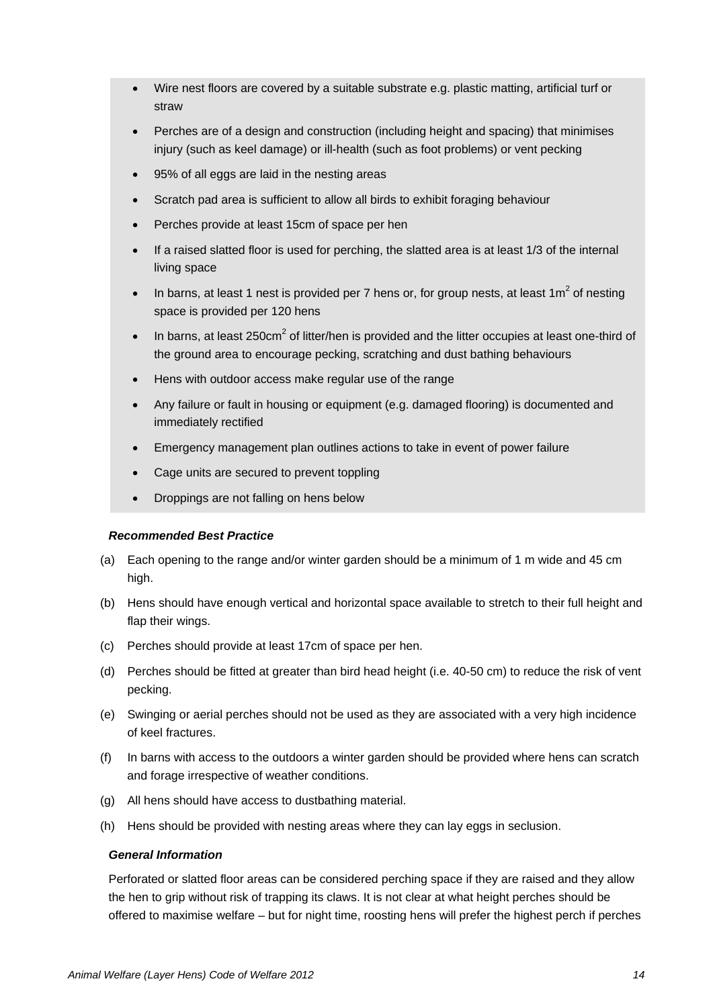- Wire nest floors are covered by a suitable substrate e.g. plastic matting, artificial turf or straw
- Perches are of a design and construction (including height and spacing) that minimises injury (such as keel damage) or ill-health (such as foot problems) or vent pecking
- 95% of all eggs are laid in the nesting areas
- Scratch pad area is sufficient to allow all birds to exhibit foraging behaviour
- Perches provide at least 15cm of space per hen
- If a raised slatted floor is used for perching, the slatted area is at least 1/3 of the internal living space
- In barns, at least 1 nest is provided per 7 hens or, for group nests, at least  $1\text{m}^2$  of nesting space is provided per 120 hens
- In barns, at least 250cm<sup>2</sup> of litter/hen is provided and the litter occupies at least one-third of the ground area to encourage pecking, scratching and dust bathing behaviours
- Hens with outdoor access make regular use of the range
- Any failure or fault in housing or equipment (e.g. damaged flooring) is documented and immediately rectified
- Emergency management plan outlines actions to take in event of power failure
- Cage units are secured to prevent toppling
- Droppings are not falling on hens below

#### *Recommended Best Practice*

- (a) Each opening to the range and/or winter garden should be a minimum of 1 m wide and 45 cm high.
- (b) Hens should have enough vertical and horizontal space available to stretch to their full height and flap their wings.
- (c) Perches should provide at least 17cm of space per hen.
- (d) Perches should be fitted at greater than bird head height (i.e. 40-50 cm) to reduce the risk of vent pecking.
- (e) Swinging or aerial perches should not be used as they are associated with a very high incidence of keel fractures.
- (f) In barns with access to the outdoors a winter garden should be provided where hens can scratch and forage irrespective of weather conditions.
- (g) All hens should have access to dustbathing material.
- (h) Hens should be provided with nesting areas where they can lay eggs in seclusion.

#### *General Information*

Perforated or slatted floor areas can be considered perching space if they are raised and they allow the hen to grip without risk of trapping its claws. It is not clear at what height perches should be offered to maximise welfare – but for night time, roosting hens will prefer the highest perch if perches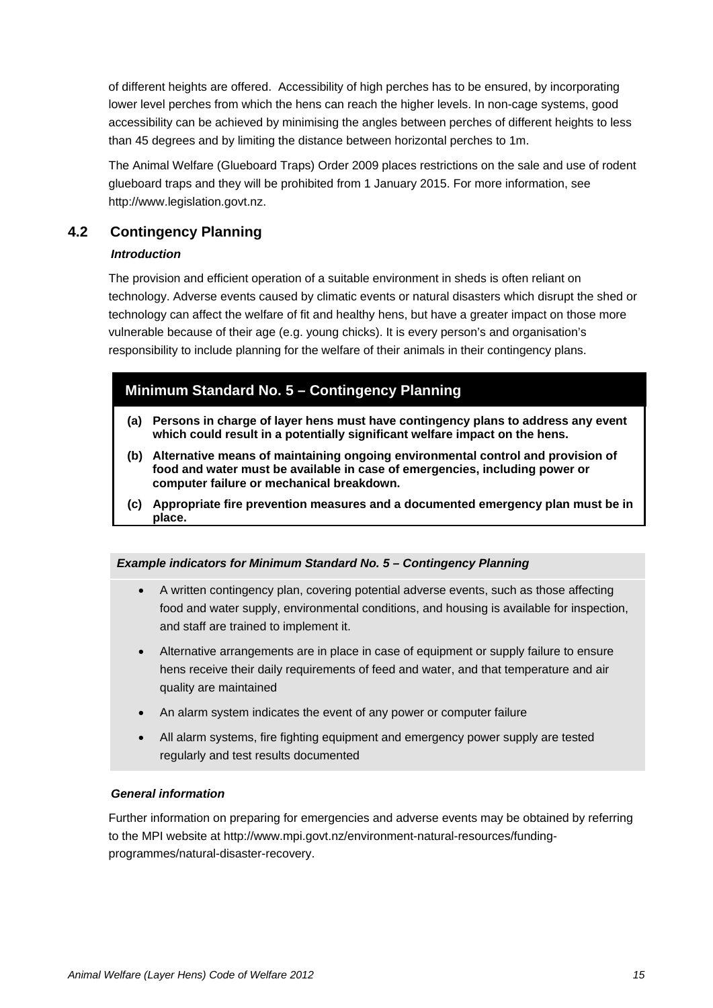of different heights are offered. Accessibility of high perches has to be ensured, by incorporating lower level perches from which the hens can reach the higher levels. In non-cage systems, good accessibility can be achieved by minimising the angles between perches of different heights to less than 45 degrees and by limiting the distance between horizontal perches to 1m.

The Animal Welfare (Glueboard Traps) Order 2009 places restrictions on the sale and use of rodent glueboard traps and they will be prohibited from 1 January 2015. For more information, see [http://www.legislation.govt.nz.](http://www.legislation.govt.nz/)

## **4.2 Contingency Planning**

#### *Introduction*

The provision and efficient operation of a suitable environment in sheds is often reliant on technology. Adverse events caused by climatic events or natural disasters which disrupt the shed or technology can affect the welfare of fit and healthy hens, but have a greater impact on those more vulnerable because of their age (e.g. young chicks). It is every person's and organisation's responsibility to include planning for the welfare of their animals in their contingency plans.

## <span id="page-15-0"></span>**Minimum Standard No. 5 – Contingency Planning**

- **(a) Persons in charge of layer hens must have contingency plans to address any event which could result in a potentially significant welfare impact on the hens.**
- **(b) Alternative means of maintaining ongoing environmental control and provision of food and water must be available in case of emergencies, including power or computer failure or mechanical breakdown.**
- **(c) Appropriate fire prevention measures and a documented emergency plan must be in place.**

#### *Example indicators for Minimum Standard No. 5 – Contingency Planning*

- A written contingency plan, covering potential adverse events, such as those affecting food and water supply, environmental conditions, and housing is available for inspection, and staff are trained to implement it.
- Alternative arrangements are in place in case of equipment or supply failure to ensure hens receive their daily requirements of feed and water, and that temperature and air quality are maintained
- An alarm system indicates the event of any power or computer failure
- All alarm systems, fire fighting equipment and emergency power supply are tested regularly and test results documented

#### *General information*

Further information on preparing for emergencies and adverse events may be obtained by referring to the MPI website at [http://www.mpi.govt.nz/environment-natural-resources/funding](http://www.mpi.govt.nz/environment-natural-resources/funding-programmes/natural-disaster-recovery)[programmes/natural-disaster-recovery.](http://www.mpi.govt.nz/environment-natural-resources/funding-programmes/natural-disaster-recovery)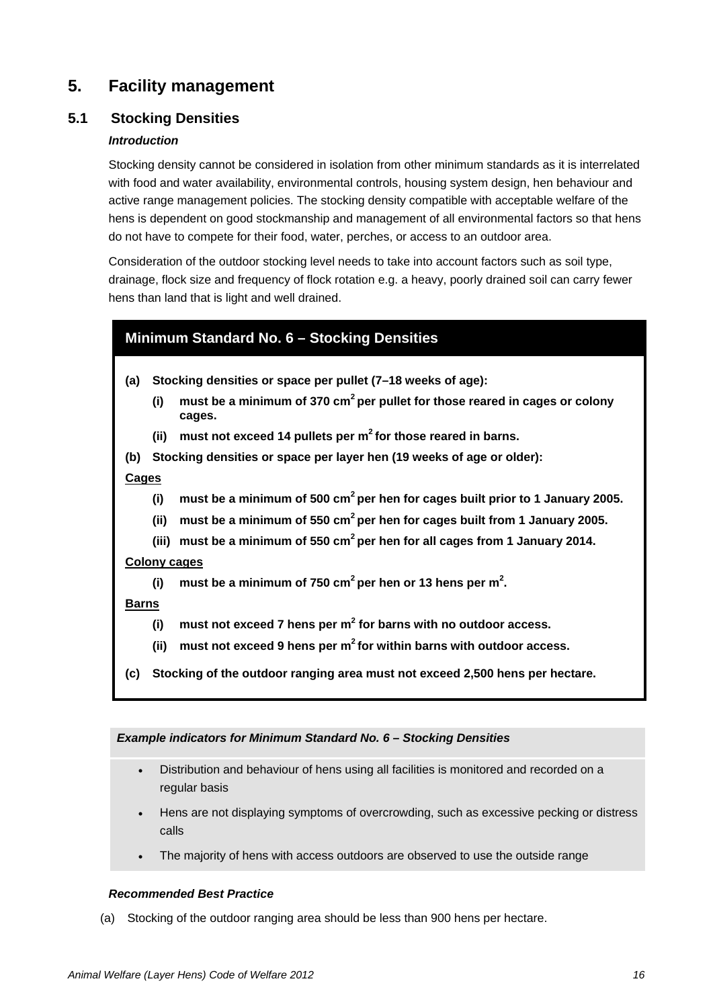## **5. Facility management**

## **5.1 Stocking Densities**

#### *Introduction*

Stocking density cannot be considered in isolation from other minimum standards as it is interrelated with food and water availability, environmental controls, housing system design, hen behaviour and active range management policies. The stocking density compatible with acceptable welfare of the hens is dependent on good stockmanship and management of all environmental factors so that hens do not have to compete for their food, water, perches, or access to an outdoor area.

Consideration of the outdoor stocking level needs to take into account factors such as soil type, drainage, flock size and frequency of flock rotation e.g. a heavy, poorly drained soil can carry fewer hens than land that is light and well drained.

## <span id="page-16-0"></span>**Minimum Standard No. 6 – Stocking Densities**

- **(a) Stocking densities or space per pullet (7–18 weeks of age):**
	- **(i) must be a minimum of 370 cm2 per pullet for those reared in cages or colony cages.**
	- **(ii) must not exceed 14 pullets per m2 for those reared in barns.**
- **(b) Stocking densities or space per layer hen (19 weeks of age or older):**

#### **Cages**

- **(i) must be a minimum of 500 cm2 per hen for cages built prior to 1 January 2005.**
- **(ii) must be a minimum of 550 cm2 per hen for cages built from 1 January 2005.**
- **(iii) must be a minimum of 550 cm2 per hen for all cages from 1 January 2014.**

#### **Colony cages**

(i)  $m$  must be a minimum of 750  $\text{cm}^2$  per hen or 13 hens per  $\text{m}^2$ .

#### **Barns**

- **(i) must not exceed 7 hens per m2 for barns with no outdoor access.**
- **(ii) must not exceed 9 hens per m2 for within barns with outdoor access.**
- **(c) Stocking of the outdoor ranging area must not exceed 2,500 hens per hectare.**

#### *Example indicators for Minimum Standard No. 6 – Stocking Densities*

- Distribution and behaviour of hens using all facilities is monitored and recorded on a regular basis
- Hens are not displaying symptoms of overcrowding, such as excessive pecking or distress calls
- The majority of hens with access outdoors are observed to use the outside range

#### *Recommended Best Practice*

(a) Stocking of the outdoor ranging area should be less than 900 hens per hectare.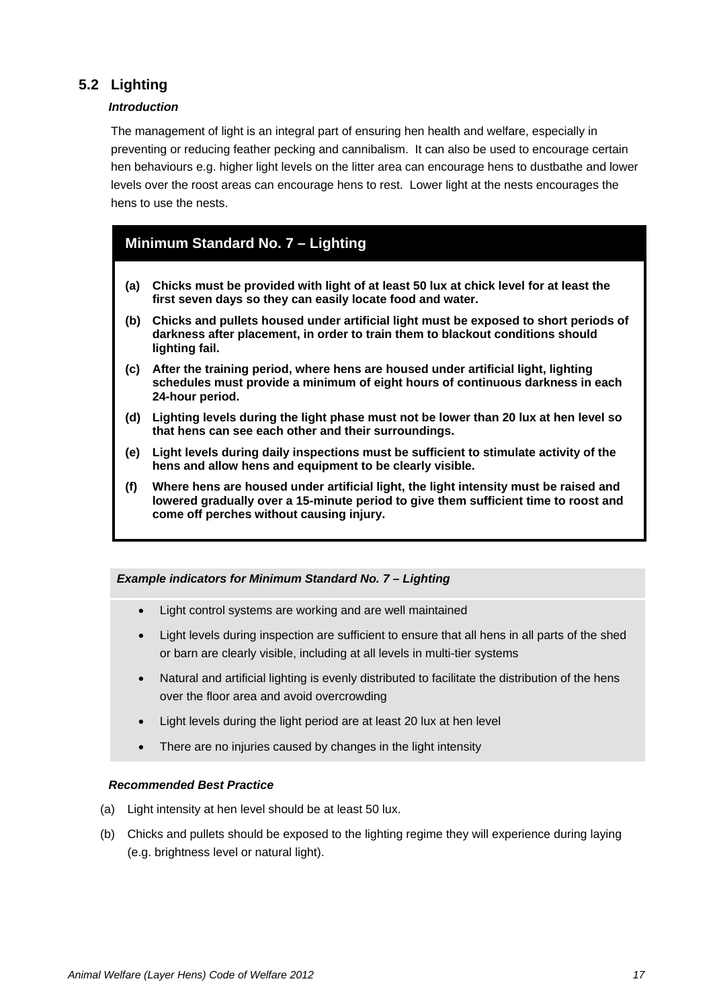## **5.2 Lighting**

#### *Introduction*

The management of light is an integral part of ensuring hen health and welfare, especially in preventing or reducing feather pecking and cannibalism. It can also be used to encourage certain hen behaviours e.g. higher light levels on the litter area can encourage hens to dustbathe and lower levels over the roost areas can encourage hens to rest. Lower light at the nests encourages the hens to use the nests.

## <span id="page-17-0"></span>**Minimum Standard No. 7 – Lighting**

- **(a) Chicks must be provided with light of at least 50 lux at chick level for at least the first seven days so they can easily locate food and water.**
- **(b) Chicks and pullets housed under artificial light must be exposed to short periods of darkness after placement, in order to train them to blackout conditions should lighting fail.**
- **(c) After the training period, where hens are housed under artificial light, lighting schedules must provide a minimum of eight hours of continuous darkness in each 24-hour period.**
- **(d) Lighting levels during the light phase must not be lower than 20 lux at hen level so that hens can see each other and their surroundings.**
- **(e) Light levels during daily inspections must be sufficient to stimulate activity of the hens and allow hens and equipment to be clearly visible.**
- **(f) Where hens are housed under artificial light, the light intensity must be raised and lowered gradually over a 15-minute period to give them sufficient time to roost and come off perches without causing injury.**

#### *Example indicators for Minimum Standard No. 7 – Lighting*

- Light control systems are working and are well maintained
- Light levels during inspection are sufficient to ensure that all hens in all parts of the shed or barn are clearly visible, including at all levels in multi-tier systems
- Natural and artificial lighting is evenly distributed to facilitate the distribution of the hens over the floor area and avoid overcrowding
- Light levels during the light period are at least 20 lux at hen level
- There are no injuries caused by changes in the light intensity

#### *Recommended Best Practice*

- (a) Light intensity at hen level should be at least 50 lux.
- (b) Chicks and pullets should be exposed to the lighting regime they will experience during laying (e.g. brightness level or natural light).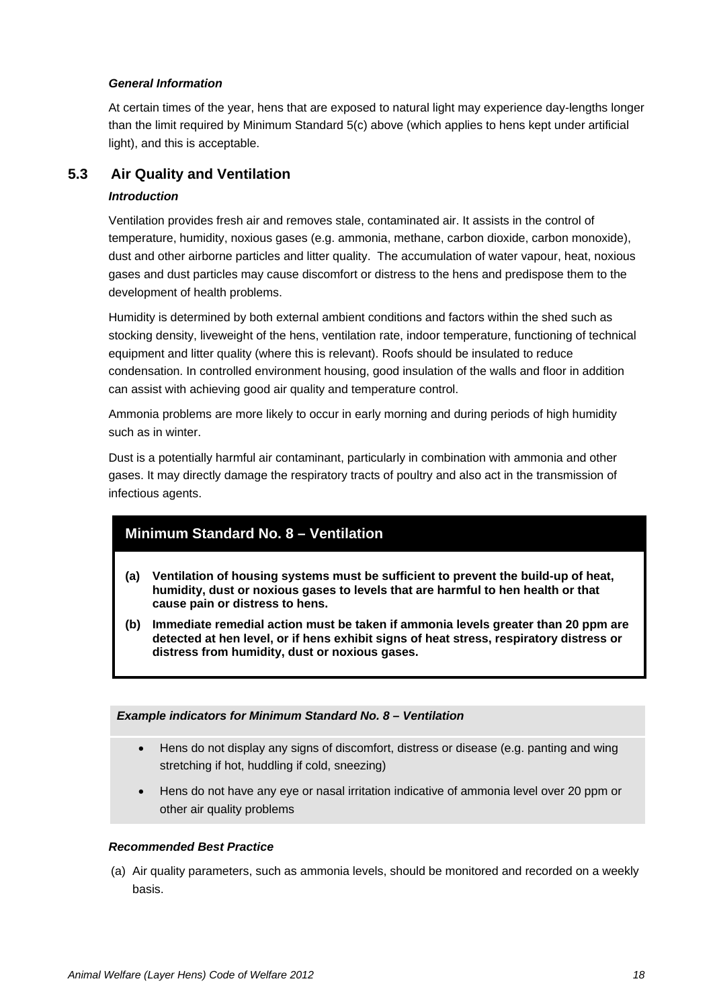#### *General Information*

At certain times of the year, hens that are exposed to natural light may experience day-lengths longer than the limit required by Minimum Standard 5(c) above (which applies to hens kept under artificial light), and this is acceptable.

## **5.3 Air Quality and Ventilation**

#### *Introduction*

Ventilation provides fresh air and removes stale, contaminated air. It assists in the control of temperature, humidity, noxious gases (e.g. ammonia, methane, carbon dioxide, carbon monoxide), dust and other airborne particles and litter quality. The accumulation of water vapour, heat, noxious gases and dust particles may cause discomfort or distress to the hens and predispose them to the development of health problems.

Humidity is determined by both external ambient conditions and factors within the shed such as stocking density, liveweight of the hens, ventilation rate, indoor temperature, functioning of technical equipment and litter quality (where this is relevant). Roofs should be insulated to reduce condensation. In controlled environment housing, good insulation of the walls and floor in addition can assist with achieving good air quality and temperature control.

Ammonia problems are more likely to occur in early morning and during periods of high humidity such as in winter.

Dust is a potentially harmful air contaminant, particularly in combination with ammonia and other gases. It may directly damage the respiratory tracts of poultry and also act in the transmission of infectious agents.

## <span id="page-18-0"></span>**Minimum Standard No. 8 – Ventilation**

- **(a) Ventilation of housing systems must be sufficient to prevent the build-up of heat, humidity, dust or noxious gases to levels that are harmful to hen health or that cause pain or distress to hens.**
- **(b) Immediate remedial action must be taken if ammonia levels greater than 20 ppm are detected at hen level, or if hens exhibit signs of heat stress, respiratory distress or distress from humidity, dust or noxious gases.**

#### *Example indicators for Minimum Standard No. 8 – Ventilation*

- Hens do not display any signs of discomfort, distress or disease (e.g. panting and wing stretching if hot, huddling if cold, sneezing)
- Hens do not have any eye or nasal irritation indicative of ammonia level over 20 ppm or other air quality problems

#### *Recommended Best Practice*

(a) Air quality parameters, such as ammonia levels, should be monitored and recorded on a weekly basis.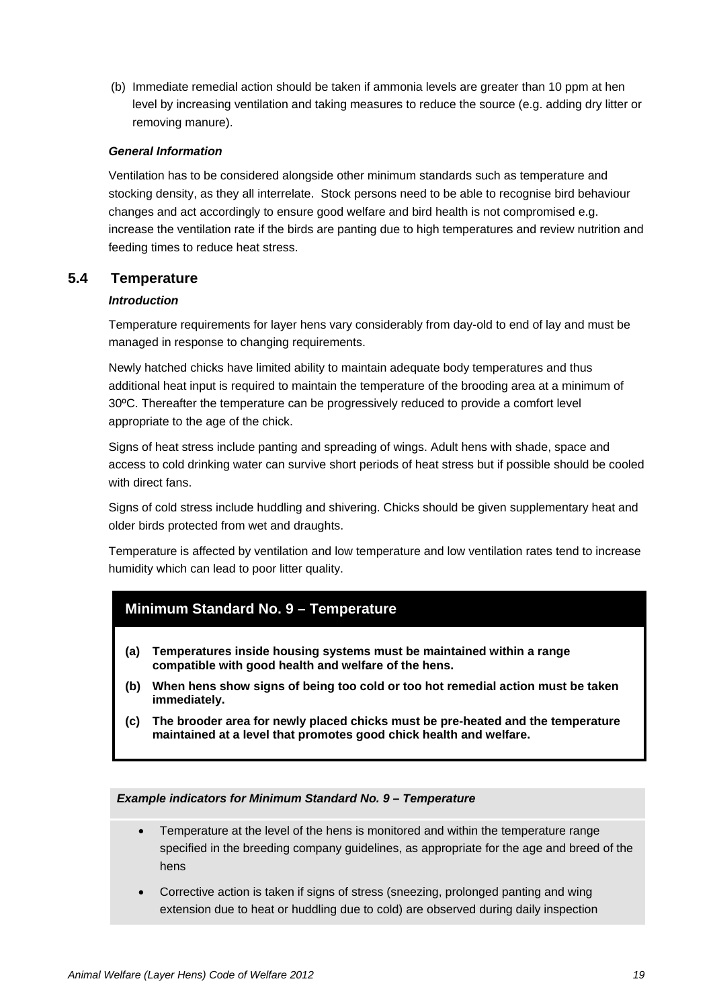(b) Immediate remedial action should be taken if ammonia levels are greater than 10 ppm at hen level by increasing ventilation and taking measures to reduce the source (e.g. adding dry litter or removing manure).

#### *General Information*

Ventilation has to be considered alongside other minimum standards such as temperature and stocking density, as they all interrelate. Stock persons need to be able to recognise bird behaviour changes and act accordingly to ensure good welfare and bird health is not compromised e.g. increase the ventilation rate if the birds are panting due to high temperatures and review nutrition and feeding times to reduce heat stress.

#### **5.4 Temperature**

#### *Introduction*

Temperature requirements for layer hens vary considerably from day-old to end of lay and must be managed in response to changing requirements.

Newly hatched chicks have limited ability to maintain adequate body temperatures and thus additional heat input is required to maintain the temperature of the brooding area at a minimum of 30ºC. Thereafter the temperature can be progressively reduced to provide a comfort level appropriate to the age of the chick.

Signs of heat stress include panting and spreading of wings. Adult hens with shade, space and access to cold drinking water can survive short periods of heat stress but if possible should be cooled with direct fans.

Signs of cold stress include huddling and shivering. Chicks should be given supplementary heat and older birds protected from wet and draughts.

Temperature is affected by ventilation and low temperature and low ventilation rates tend to increase humidity which can lead to poor litter quality.

## <span id="page-19-0"></span>**Minimum Standard No. 9 – Temperature**

- **(a) Temperatures inside housing systems must be maintained within a range compatible with good health and welfare of the hens.**
- **(b) When hens show signs of being too cold or too hot remedial action must be taken immediately.**
- **(c) The brooder area for newly placed chicks must be pre-heated and the temperature maintained at a level that promotes good chick health and welfare.**

*Example indicators for Minimum Standard No. 9 – Temperature*

- Temperature at the level of the hens is monitored and within the temperature range specified in the breeding company guidelines, as appropriate for the age and breed of the hens
- Corrective action is taken if signs of stress (sneezing, prolonged panting and wing extension due to heat or huddling due to cold) are observed during daily inspection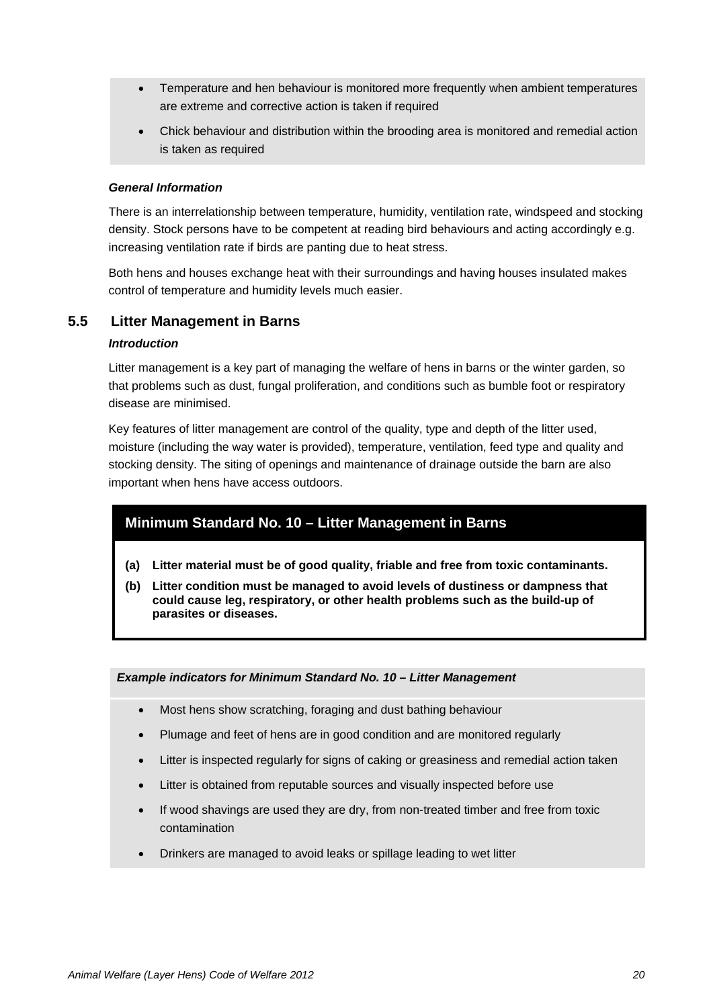- Temperature and hen behaviour is monitored more frequently when ambient temperatures are extreme and corrective action is taken if required
- Chick behaviour and distribution within the brooding area is monitored and remedial action is taken as required

#### *General Information*

There is an interrelationship between temperature, humidity, ventilation rate, windspeed and stocking density. Stock persons have to be competent at reading bird behaviours and acting accordingly e.g. increasing ventilation rate if birds are panting due to heat stress.

Both hens and houses exchange heat with their surroundings and having houses insulated makes control of temperature and humidity levels much easier.

#### **5.5 Litter Management in Barns**

#### *Introduction*

Litter management is a key part of managing the welfare of hens in barns or the winter garden, so that problems such as dust, fungal proliferation, and conditions such as bumble foot or respiratory disease are minimised.

Key features of litter management are control of the quality, type and depth of the litter used, moisture (including the way water is provided), temperature, ventilation, feed type and quality and stocking density. The siting of openings and maintenance of drainage outside the barn are also important when hens have access outdoors.

## <span id="page-20-0"></span>**Minimum Standard No. 10 – Litter Management in Barns**

- **(a) Litter material must be of good quality, friable and free from toxic contaminants.**
- **(b) Litter condition must be managed to avoid levels of dustiness or dampness that could cause leg, respiratory, or other health problems such as the build-up of parasites or diseases.**

#### *Example indicators for Minimum Standard No. 10 – Litter Management*

- Most hens show scratching, foraging and dust bathing behaviour
- Plumage and feet of hens are in good condition and are monitored regularly
- Litter is inspected regularly for signs of caking or greasiness and remedial action taken
- Litter is obtained from reputable sources and visually inspected before use
- If wood shavings are used they are dry, from non-treated timber and free from toxic contamination
- Drinkers are managed to avoid leaks or spillage leading to wet litter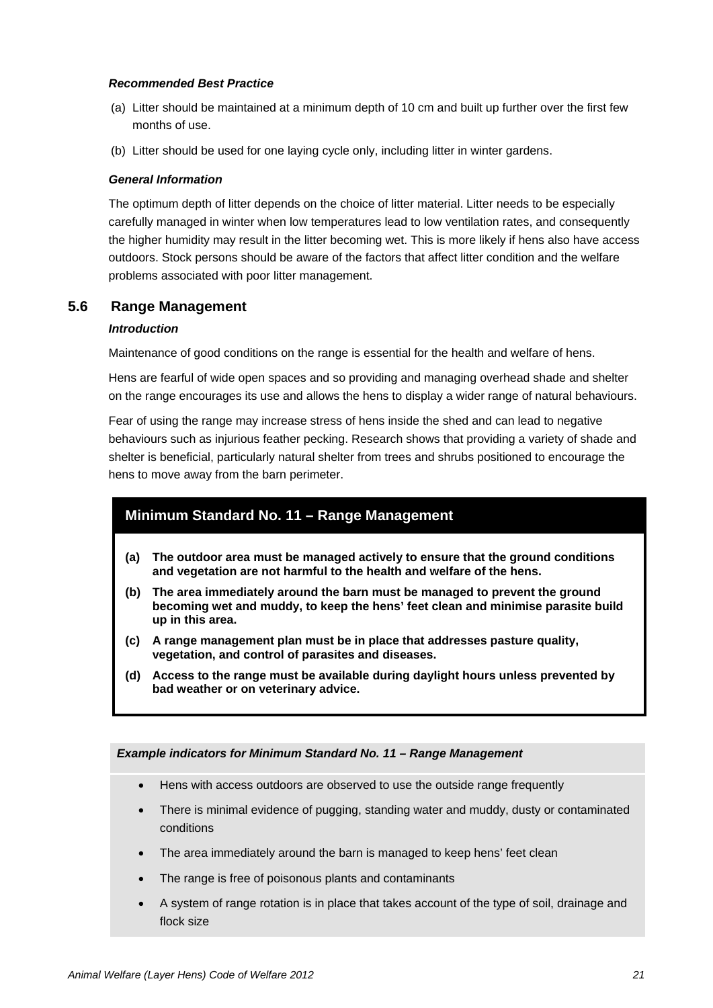#### *Recommended Best Practice*

- (a) Litter should be maintained at a minimum depth of 10 cm and built up further over the first few months of use.
- (b) Litter should be used for one laying cycle only, including litter in winter gardens.

#### *General Information*

The optimum depth of litter depends on the choice of litter material. Litter needs to be especially carefully managed in winter when low temperatures lead to low ventilation rates, and consequently the higher humidity may result in the litter becoming wet. This is more likely if hens also have access outdoors. Stock persons should be aware of the factors that affect litter condition and the welfare problems associated with poor litter management.

#### **5.6 Range Management**

#### *Introduction*

Maintenance of good conditions on the range is essential for the health and welfare of hens.

Hens are fearful of wide open spaces and so providing and managing overhead shade and shelter on the range encourages its use and allows the hens to display a wider range of natural behaviours.

Fear of using the range may increase stress of hens inside the shed and can lead to negative behaviours such as injurious feather pecking. Research shows that providing a variety of shade and shelter is beneficial, particularly natural shelter from trees and shrubs positioned to encourage the hens to move away from the barn perimeter.

## <span id="page-21-0"></span>**Minimum Standard No. 11 – Range Management**

- **(a) The outdoor area must be managed actively to ensure that the ground conditions and vegetation are not harmful to the health and welfare of the hens.**
- **(b) The area immediately around the barn must be managed to prevent the ground becoming wet and muddy, to keep the hens' feet clean and minimise parasite build up in this area.**
- **(c) A range management plan must be in place that addresses pasture quality, vegetation, and control of parasites and diseases.**
- **(d) Access to the range must be available during daylight hours unless prevented by bad weather or on veterinary advice.**

#### *Example indicators for Minimum Standard No. 11 – Range Management*

- Hens with access outdoors are observed to use the outside range frequently
- There is minimal evidence of pugging, standing water and muddy, dusty or contaminated conditions
- The area immediately around the barn is managed to keep hens' feet clean
- The range is free of poisonous plants and contaminants
- A system of range rotation is in place that takes account of the type of soil, drainage and flock size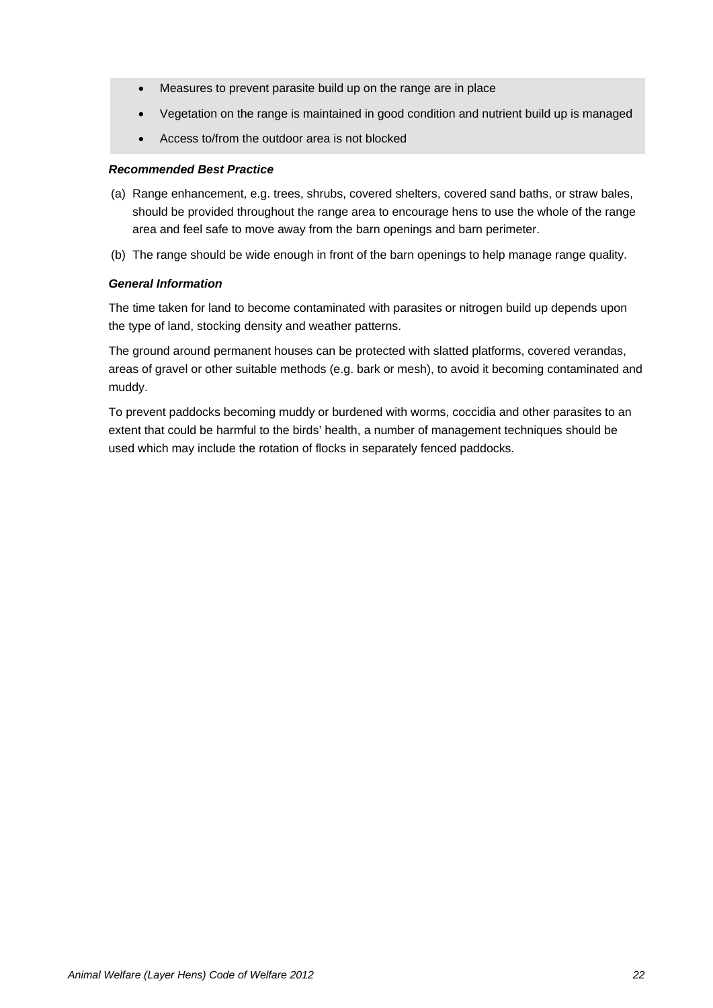- Measures to prevent parasite build up on the range are in place
- Vegetation on the range is maintained in good condition and nutrient build up is managed
- Access to/from the outdoor area is not blocked

#### *Recommended Best Practice*

- (a) Range enhancement, e.g. trees, shrubs, covered shelters, covered sand baths, or straw bales, should be provided throughout the range area to encourage hens to use the whole of the range area and feel safe to move away from the barn openings and barn perimeter.
- (b) The range should be wide enough in front of the barn openings to help manage range quality.

#### *General Information*

The time taken for land to become contaminated with parasites or nitrogen build up depends upon the type of land, stocking density and weather patterns.

The ground around permanent houses can be protected with slatted platforms, covered verandas, areas of gravel or other suitable methods (e.g. bark or mesh), to avoid it becoming contaminated and muddy.

To prevent paddocks becoming muddy or burdened with worms, coccidia and other parasites to an extent that could be harmful to the birds' health, a number of management techniques should be used which may include the rotation of flocks in separately fenced paddocks.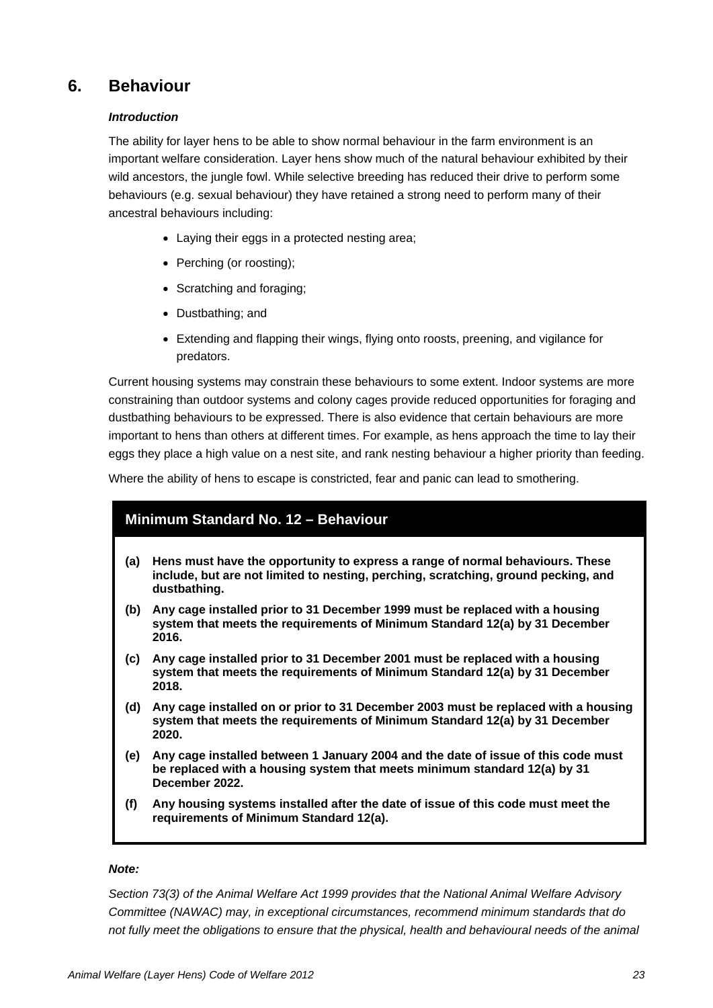## **6. Behaviour**

#### *Introduction*

The ability for layer hens to be able to show normal behaviour in the farm environment is an important welfare consideration. Layer hens show much of the natural behaviour exhibited by their wild ancestors, the jungle fowl. While selective breeding has reduced their drive to perform some behaviours (e.g. sexual behaviour) they have retained a strong need to perform many of their ancestral behaviours including:

- Laying their eggs in a protected nesting area;
- Perching (or roosting);
- Scratching and foraging;
- Dustbathing; and
- Extending and flapping their wings, flying onto roosts, preening, and vigilance for predators.

Current housing systems may constrain these behaviours to some extent. Indoor systems are more constraining than outdoor systems and colony cages provide reduced opportunities for foraging and dustbathing behaviours to be expressed. There is also evidence that certain behaviours are more important to hens than others at different times. For example, as hens approach the time to lay their eggs they place a high value on a nest site, and rank nesting behaviour a higher priority than feeding.

Where the ability of hens to escape is constricted, fear and panic can lead to smothering.

## <span id="page-23-0"></span>**Minimum Standard No. 12 – Behaviour**

- **(a) Hens must have the opportunity to express a range of normal behaviours. These include, but are not limited to nesting, perching, scratching, ground pecking, and dustbathing.**
- **(b) Any cage installed prior to 31 December 1999 must be replaced with a housing system that meets the requirements of Minimum Standard 12(a) by 31 December 2016.**
- **(c) Any cage installed prior to 31 December 2001 must be replaced with a housing system that meets the requirements of Minimum Standard 12(a) by 31 December 2018.**
- **(d) Any cage installed on or prior to 31 December 2003 must be replaced with a housing system that meets the requirements of Minimum Standard 12(a) by 31 December 2020.**
- **(e) Any cage installed between 1 January 2004 and the date of issue of this code must be replaced with a housing system that meets minimum standard 12(a) by 31 December 2022.**
- **(f) Any housing systems installed after the date of issue of this code must meet the requirements of Minimum Standard 12(a).**

#### *Note:*

*Section 73(3) of the Animal Welfare Act 1999 provides that the National Animal Welfare Advisory Committee (NAWAC) may, in exceptional circumstances, recommend minimum standards that do*  not fully meet the obligations to ensure that the physical, health and behavioural needs of the animal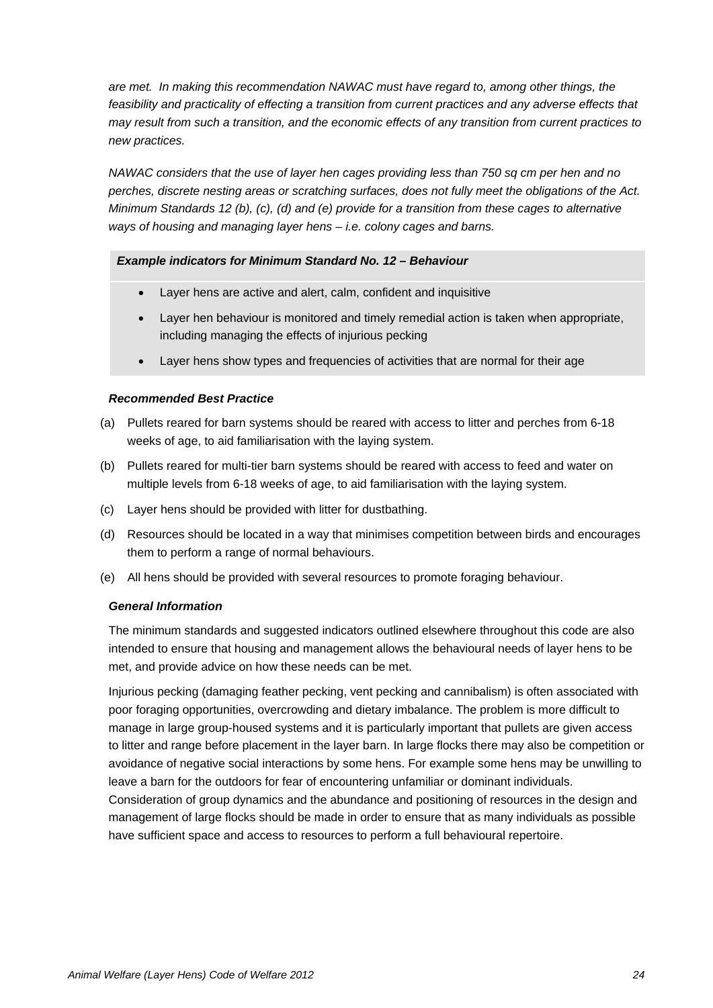*are met. In making this recommendation NAWAC must have regard to, among other things, the feasibility and practicality of effecting a transition from current practices and any adverse effects that may result from such a transition, and the economic effects of any transition from current practices to new practices.* 

*NAWAC considers that the use of layer hen cages providing less than 750 sq cm per hen and no perches, discrete nesting areas or scratching surfaces, does not fully meet the obligations of the Act. Minimum Standards 12 (b), (c), (d) and (e) provide for a transition from these cages to alternative ways of housing and managing layer hens – i.e. colony cages and barns.*

#### *Example indicators for Minimum Standard No. 12 – Behaviour*

- Layer hens are active and alert, calm, confident and inquisitive
- Layer hen behaviour is monitored and timely remedial action is taken when appropriate, including managing the effects of injurious pecking
- Layer hens show types and frequencies of activities that are normal for their age

#### *Recommended Best Practice*

- (a) Pullets reared for barn systems should be reared with access to litter and perches from 6-18 weeks of age, to aid familiarisation with the laying system.
- (b) Pullets reared for multi-tier barn systems should be reared with access to feed and water on multiple levels from 6-18 weeks of age, to aid familiarisation with the laying system.
- (c) Layer hens should be provided with litter for dustbathing.
- (d) Resources should be located in a way that minimises competition between birds and encourages them to perform a range of normal behaviours.
- (e) All hens should be provided with several resources to promote foraging behaviour.

#### *General Information*

The minimum standards and suggested indicators outlined elsewhere throughout this code are also intended to ensure that housing and management allows the behavioural needs of layer hens to be met, and provide advice on how these needs can be met.

Injurious pecking (damaging feather pecking, vent pecking and cannibalism) is often associated with poor foraging opportunities, overcrowding and dietary imbalance. The problem is more difficult to manage in large group-housed systems and it is particularly important that pullets are given access to litter and range before placement in the layer barn. In large flocks there may also be competition or avoidance of negative social interactions by some hens. For example some hens may be unwilling to leave a barn for the outdoors for fear of encountering unfamiliar or dominant individuals. Consideration of group dynamics and the abundance and positioning of resources in the design and

management of large flocks should be made in order to ensure that as many individuals as possible have sufficient space and access to resources to perform a full behavioural repertoire.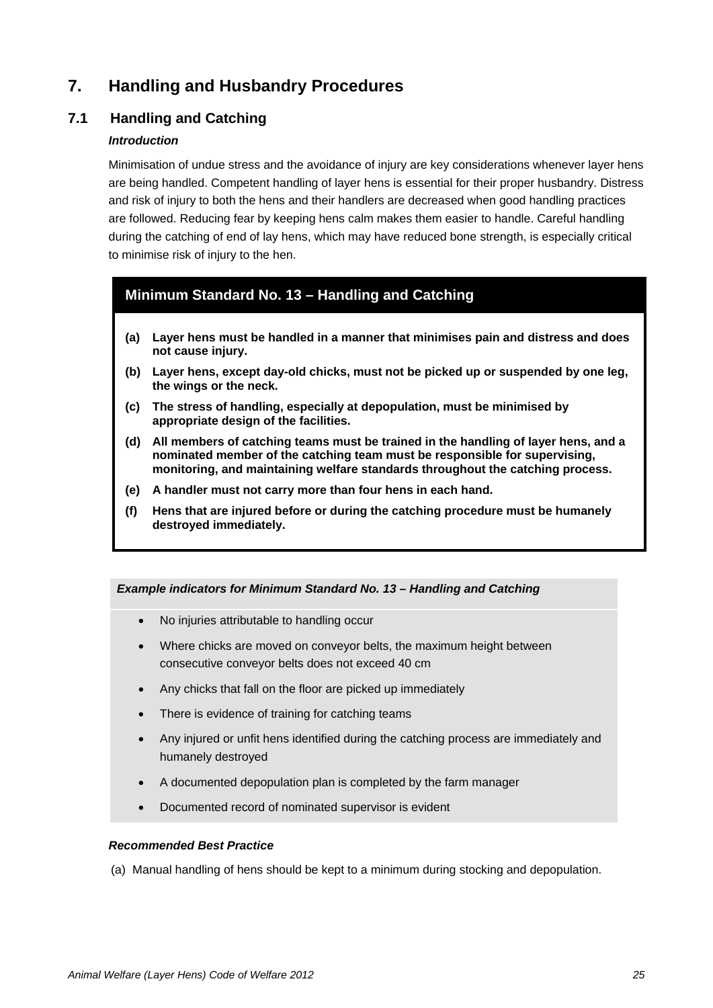## **7. Handling and Husbandry Procedures**

## **7.1 Handling and Catching**

#### *Introduction*

Minimisation of undue stress and the avoidance of injury are key considerations whenever layer hens are being handled. Competent handling of layer hens is essential for their proper husbandry. Distress and risk of injury to both the hens and their handlers are decreased when good handling practices are followed. Reducing fear by keeping hens calm makes them easier to handle. Careful handling during the catching of end of lay hens, which may have reduced bone strength, is especially critical to minimise risk of injury to the hen.

## <span id="page-25-0"></span>**Minimum Standard No. 13 – Handling and Catching**

- **(a) Layer hens must be handled in a manner that minimises pain and distress and does not cause injury.**
- **(b) Layer hens, except day-old chicks, must not be picked up or suspended by one leg, the wings or the neck.**
- **(c) The stress of handling, especially at depopulation, must be minimised by appropriate design of the facilities.**
- **(d) All members of catching teams must be trained in the handling of layer hens, and a nominated member of the catching team must be responsible for supervising, monitoring, and maintaining welfare standards throughout the catching process.**
- **(e) A handler must not carry more than four hens in each hand.**
- **(f) Hens that are injured before or during the catching procedure must be humanely destroyed immediately.**

#### *Example indicators for Minimum Standard No. 13 – Handling and Catching*

- No injuries attributable to handling occur
- Where chicks are moved on conveyor belts, the maximum height between consecutive conveyor belts does not exceed 40 cm
- Any chicks that fall on the floor are picked up immediately
- There is evidence of training for catching teams
- Any injured or unfit hens identified during the catching process are immediately and humanely destroyed
- A documented depopulation plan is completed by the farm manager
- Documented record of nominated supervisor is evident

#### *Recommended Best Practice*

(a) Manual handling of hens should be kept to a minimum during stocking and depopulation.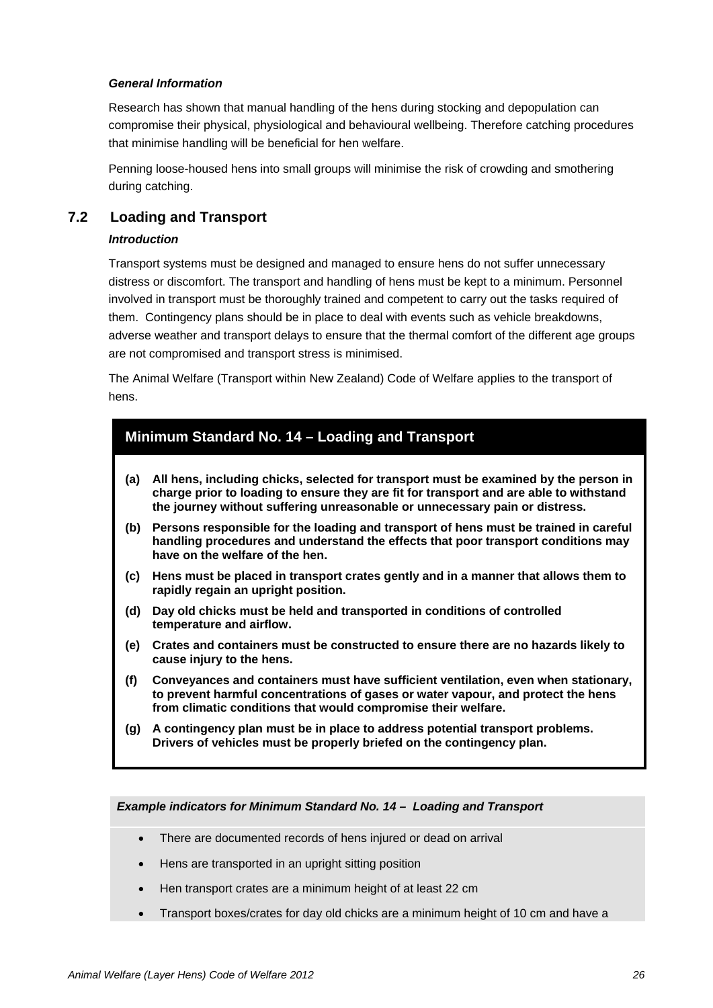#### *General Information*

Research has shown that manual handling of the hens during stocking and depopulation can compromise their physical, physiological and behavioural wellbeing. Therefore catching procedures that minimise handling will be beneficial for hen welfare.

Penning loose-housed hens into small groups will minimise the risk of crowding and smothering during catching.

#### **7.2 Loading and Transport**

#### *Introduction*

Transport systems must be designed and managed to ensure hens do not suffer unnecessary distress or discomfort. The transport and handling of hens must be kept to a minimum. Personnel involved in transport must be thoroughly trained and competent to carry out the tasks required of them. Contingency plans should be in place to deal with events such as vehicle breakdowns, adverse weather and transport delays to ensure that the thermal comfort of the different age groups are not compromised and transport stress is minimised.

The Animal Welfare (Transport within New Zealand) Code of Welfare applies to the transport of hens.

## <span id="page-26-0"></span>**Minimum Standard No. 14 – Loading and Transport**

- **(a) All hens, including chicks, selected for transport must be examined by the person in charge prior to loading to ensure they are fit for transport and are able to withstand the journey without suffering unreasonable or unnecessary pain or distress.**
- **(b) Persons responsible for the loading and transport of hens must be trained in careful handling procedures and understand the effects that poor transport conditions may have on the welfare of the hen.**
- **(c) Hens must be placed in transport crates gently and in a manner that allows them to rapidly regain an upright position.**
- **(d) Day old chicks must be held and transported in conditions of controlled temperature and airflow.**
- **(e) Crates and containers must be constructed to ensure there are no hazards likely to cause injury to the hens.**
- **(f) Conveyances and containers must have sufficient ventilation, even when stationary, to prevent harmful concentrations of gases or water vapour, and protect the hens from climatic conditions that would compromise their welfare.**
- **(g) A contingency plan must be in place to address potential transport problems. Drivers of vehicles must be properly briefed on the contingency plan.**

*Example indicators for Minimum Standard No. 14 – Loading and Transport*

- There are documented records of hens injured or dead on arrival
- Hens are transported in an upright sitting position
- Hen transport crates are a minimum height of at least 22 cm
- Transport boxes/crates for day old chicks are a minimum height of 10 cm and have a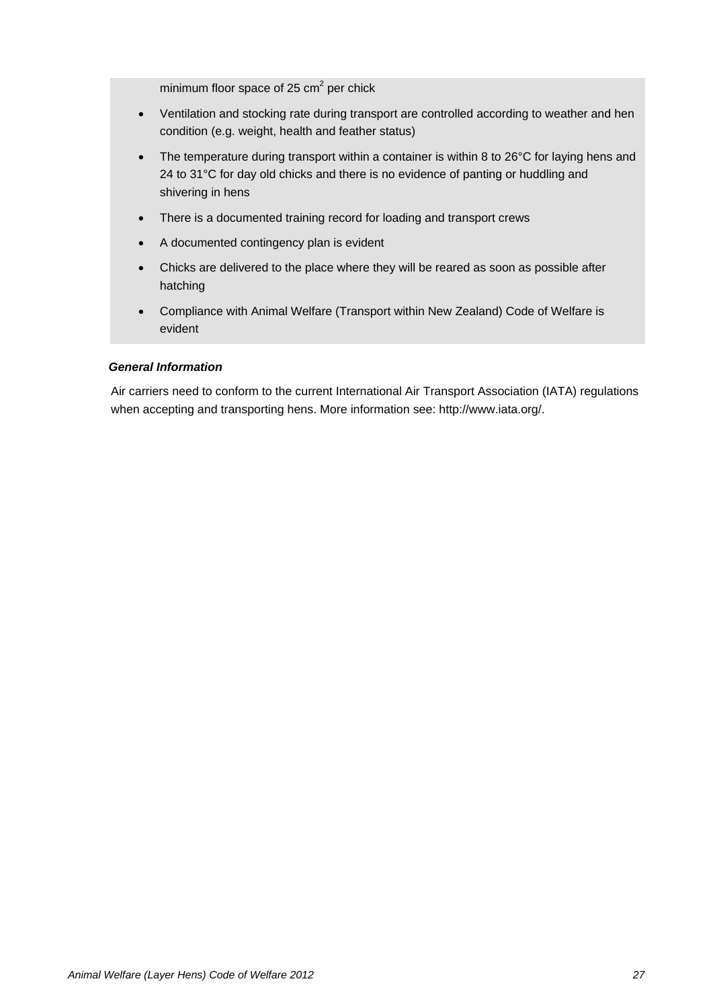minimum floor space of 25  $\text{cm}^2$  per chick

- Ventilation and stocking rate during transport are controlled according to weather and hen condition (e.g. weight, health and feather status)
- The temperature during transport within a container is within 8 to 26°C for laying hens and 24 to 31°C for day old chicks and there is no evidence of panting or huddling and shivering in hens
- There is a documented training record for loading and transport crews
- A documented contingency plan is evident
- Chicks are delivered to the place where they will be reared as soon as possible after hatching
- Compliance with Animal Welfare (Transport within New Zealand) Code of Welfare is evident

#### *General Information*

Air carriers need to conform to the current International Air Transport Association (IATA) regulations when accepting and transporting hens. More information see[: http://www.iata.org/.](http://www.iata.org/)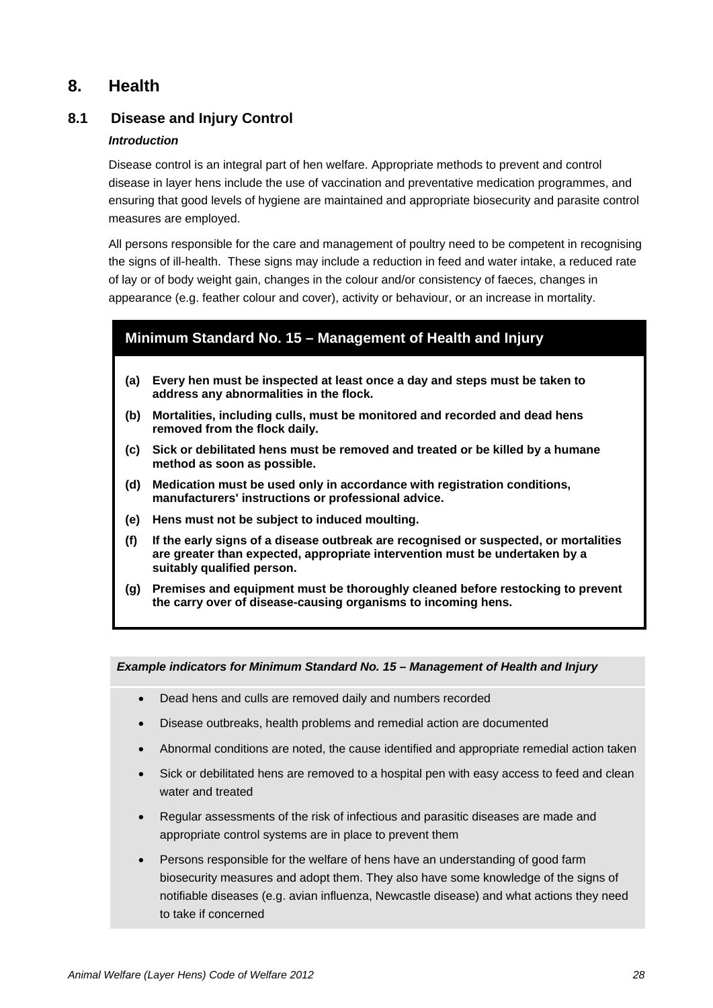## **8. Health**

## **8.1 Disease and Injury Control**

#### *Introduction*

Disease control is an integral part of hen welfare. Appropriate methods to prevent and control disease in layer hens include the use of vaccination and preventative medication programmes, and ensuring that good levels of hygiene are maintained and appropriate biosecurity and parasite control measures are employed.

All persons responsible for the care and management of poultry need to be competent in recognising the signs of ill-health. These signs may include a reduction in feed and water intake, a reduced rate of lay or of body weight gain, changes in the colour and/or consistency of faeces, changes in appearance (e.g. feather colour and cover), activity or behaviour, or an increase in mortality.

#### <span id="page-28-0"></span>**Minimum Standard No. 15 – Management of Health and Injury**

- **(a) Every hen must be inspected at least once a day and steps must be taken to address any abnormalities in the flock.**
- **(b) Mortalities, including culls, must be monitored and recorded and dead hens removed from the flock daily.**
- **(c) Sick or debilitated hens must be removed and treated or be killed by a humane method as soon as possible.**
- **(d) Medication must be used only in accordance with registration conditions, manufacturers' instructions or professional advice.**
- **(e) Hens must not be subject to induced moulting.**
- **(f) If the early signs of a disease outbreak are recognised or suspected, or mortalities are greater than expected, appropriate intervention must be undertaken by a suitably qualified person.**
- **(g) Premises and equipment must be thoroughly cleaned before restocking to prevent the carry over of disease-causing organisms to incoming hens.**

#### *Example indicators for Minimum Standard No. 15 – Management of Health and Injury*

- Dead hens and culls are removed daily and numbers recorded
- Disease outbreaks, health problems and remedial action are documented
- Abnormal conditions are noted, the cause identified and appropriate remedial action taken
- Sick or debilitated hens are removed to a hospital pen with easy access to feed and clean water and treated
- Regular assessments of the risk of infectious and parasitic diseases are made and appropriate control systems are in place to prevent them
- Persons responsible for the welfare of hens have an understanding of good farm biosecurity measures and adopt them. They also have some knowledge of the signs of notifiable diseases (e.g. avian influenza, Newcastle disease) and what actions they need to take if concerned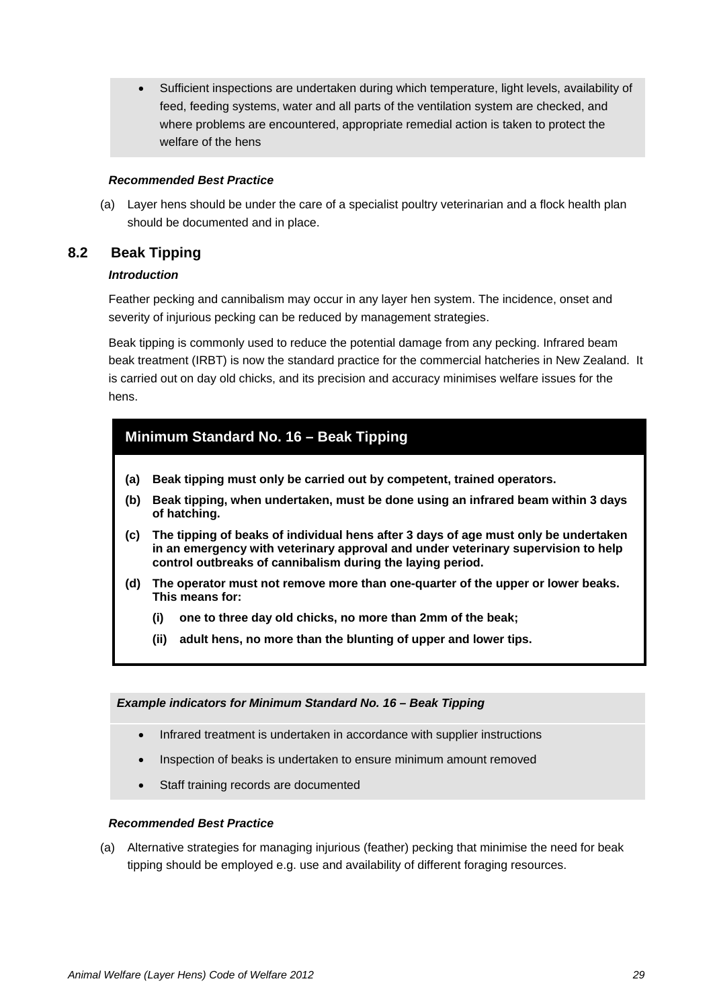• Sufficient inspections are undertaken during which temperature, light levels, availability of feed, feeding systems, water and all parts of the ventilation system are checked, and where problems are encountered, appropriate remedial action is taken to protect the welfare of the hens

#### *Recommended Best Practice*

(a) Layer hens should be under the care of a specialist poultry veterinarian and a flock health plan should be documented and in place.

## **8.2 Beak Tipping**

#### *Introduction*

Feather pecking and cannibalism may occur in any layer hen system. The incidence, onset and severity of injurious pecking can be reduced by management strategies.

Beak tipping is commonly used to reduce the potential damage from any pecking. Infrared beam beak treatment (IRBT) is now the standard practice for the commercial hatcheries in New Zealand. It is carried out on day old chicks, and its precision and accuracy minimises welfare issues for the hens.

## <span id="page-29-0"></span>**Minimum Standard No. 16 – Beak Tipping**

- **(a) Beak tipping must only be carried out by competent, trained operators.**
- **(b) Beak tipping, when undertaken, must be done using an infrared beam within 3 days of hatching.**
- **(c) The tipping of beaks of individual hens after 3 days of age must only be undertaken in an emergency with veterinary approval and under veterinary supervision to help control outbreaks of cannibalism during the laying period.**
- **(d) The operator must not remove more than one-quarter of the upper or lower beaks. This means for:**
	- **(i) one to three day old chicks, no more than 2mm of the beak;**
	- **(ii) adult hens, no more than the blunting of upper and lower tips.**

#### *Example indicators for Minimum Standard No. 16 – Beak Tipping*

- Infrared treatment is undertaken in accordance with supplier instructions
- Inspection of beaks is undertaken to ensure minimum amount removed
- Staff training records are documented

#### *Recommended Best Practice*

(a) Alternative strategies for managing injurious (feather) pecking that minimise the need for beak tipping should be employed e.g. use and availability of different foraging resources.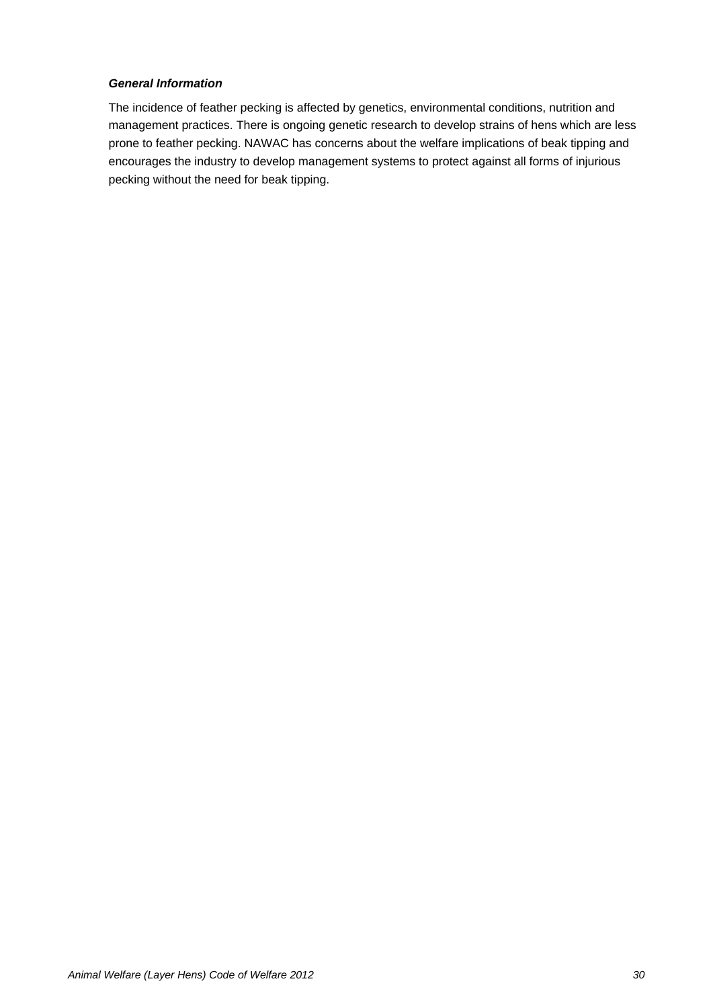#### *General Information*

The incidence of feather pecking is affected by genetics, environmental conditions, nutrition and management practices. There is ongoing genetic research to develop strains of hens which are less prone to feather pecking. NAWAC has concerns about the welfare implications of beak tipping and encourages the industry to develop management systems to protect against all forms of injurious pecking without the need for beak tipping.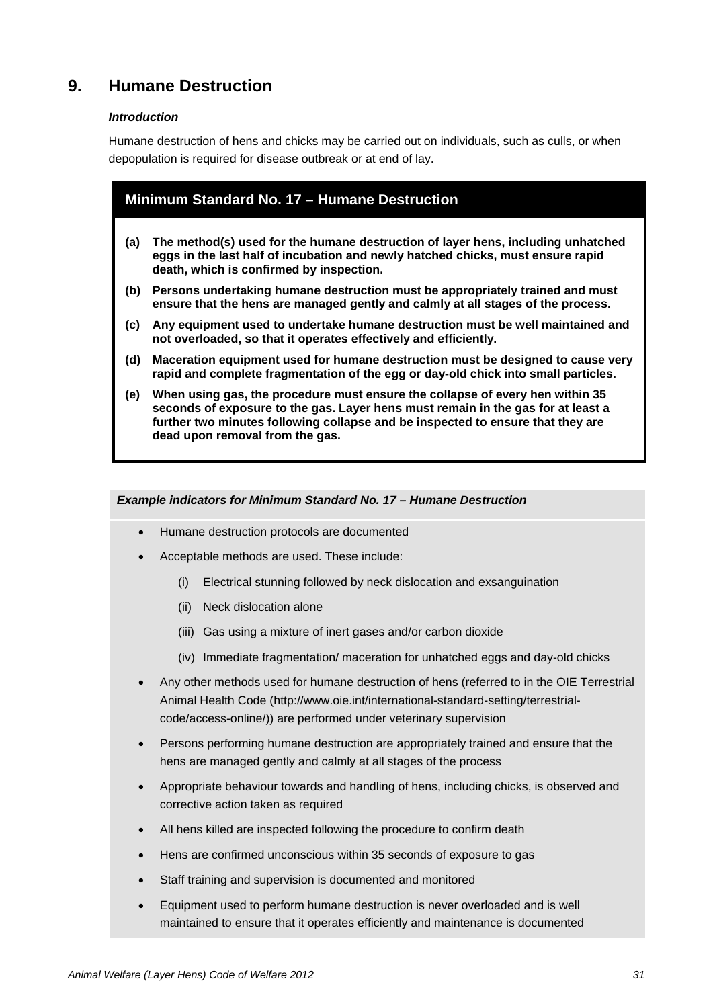## **9. Humane Destruction**

#### *Introduction*

Humane destruction of hens and chicks may be carried out on individuals, such as culls, or when depopulation is required for disease outbreak or at end of lay.

<span id="page-31-0"></span>

| Minimum Standard No. 17 - Humane Destruction |                                                                                                                                                                                                                                                                                         |  |
|----------------------------------------------|-----------------------------------------------------------------------------------------------------------------------------------------------------------------------------------------------------------------------------------------------------------------------------------------|--|
| (a)                                          | The method(s) used for the humane destruction of layer hens, including unhatched<br>eggs in the last half of incubation and newly hatched chicks, must ensure rapid                                                                                                                     |  |
|                                              | death, which is confirmed by inspection.                                                                                                                                                                                                                                                |  |
| (b)                                          | Persons undertaking humane destruction must be appropriately trained and must<br>ensure that the hens are managed gently and calmly at all stages of the process.                                                                                                                       |  |
| (c)                                          | Any equipment used to undertake humane destruction must be well maintained and<br>not overloaded, so that it operates effectively and efficiently.                                                                                                                                      |  |
| (d)                                          | Maceration equipment used for humane destruction must be designed to cause very<br>rapid and complete fragmentation of the egg or day-old chick into small particles.                                                                                                                   |  |
| (e)                                          | When using gas, the procedure must ensure the collapse of every hen within 35<br>seconds of exposure to the gas. Layer hens must remain in the gas for at least a<br>further two minutes following collapse and be inspected to ensure that they are<br>dead upon removal from the gas. |  |

*Example indicators for Minimum Standard No. 17 – Humane Destruction*

- Humane destruction protocols are documented
- Acceptable methods are used. These include:
	- (i) Electrical stunning followed by neck dislocation and exsanguination
	- (ii) Neck dislocation alone
	- (iii) Gas using a mixture of inert gases and/or carbon dioxide
	- (iv) Immediate fragmentation/ maceration for unhatched eggs and day-old chicks
- Any other methods used for humane destruction of hens (referred to in the OIE Terrestrial Animal Health Code (http://www.oie.int/international-standard-setting/terrestrialcode/access-online/)) are performed under veterinary supervision
- Persons performing humane destruction are appropriately trained and ensure that the hens are managed gently and calmly at all stages of the process
- Appropriate behaviour towards and handling of hens, including chicks, is observed and corrective action taken as required
- All hens killed are inspected following the procedure to confirm death
- Hens are confirmed unconscious within 35 seconds of exposure to gas
- Staff training and supervision is documented and monitored
- Equipment used to perform humane destruction is never overloaded and is well maintained to ensure that it operates efficiently and maintenance is documented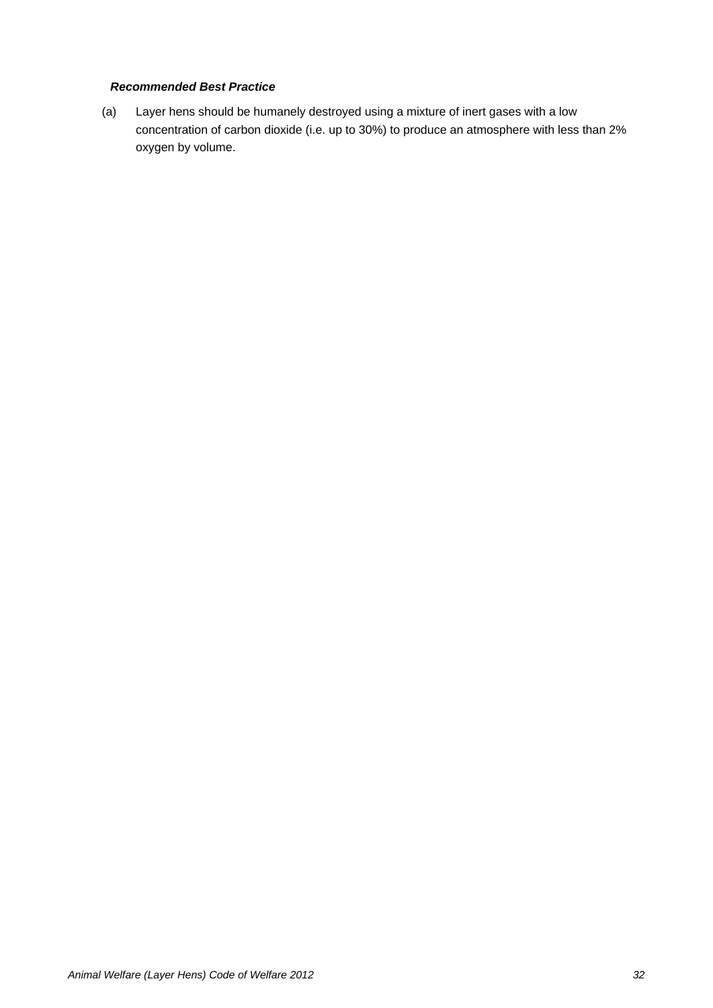## *Recommended Best Practice*

(a) Layer hens should be humanely destroyed using a mixture of inert gases with a low concentration of carbon dioxide (i.e. up to 30%) to produce an atmosphere with less than 2% oxygen by volume.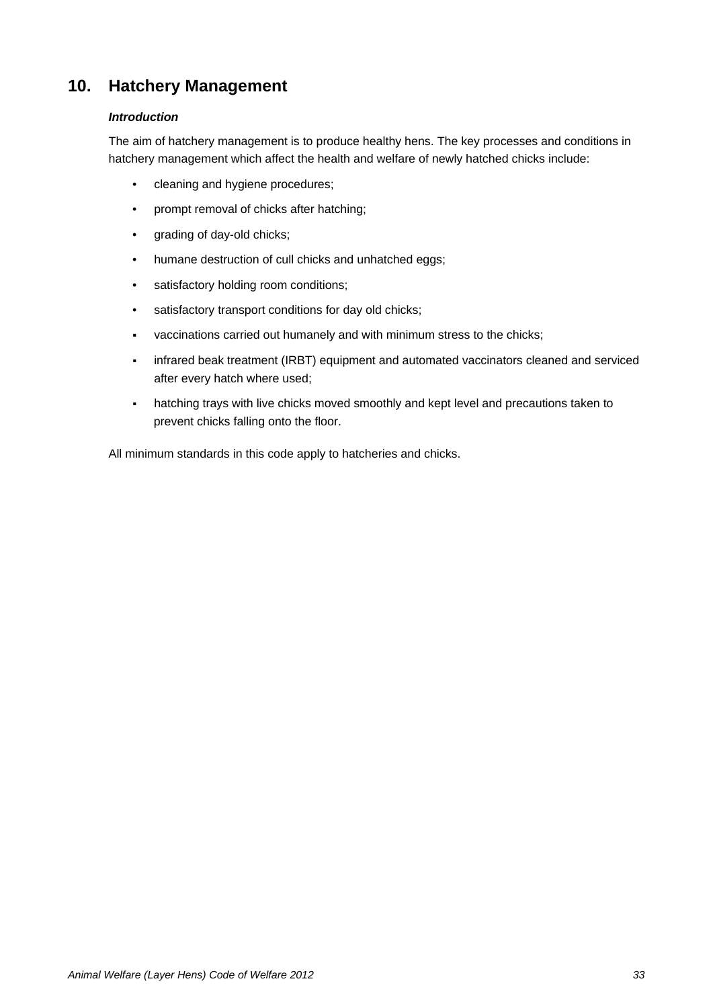## **10. Hatchery Management**

#### *Introduction*

The aim of hatchery management is to produce healthy hens. The key processes and conditions in hatchery management which affect the health and welfare of newly hatched chicks include:

- cleaning and hygiene procedures;
- prompt removal of chicks after hatching;
- grading of day-old chicks;
- humane destruction of cull chicks and unhatched eggs;
- satisfactory holding room conditions;
- satisfactory transport conditions for day old chicks;
- vaccinations carried out humanely and with minimum stress to the chicks;
- infrared beak treatment (IRBT) equipment and automated vaccinators cleaned and serviced after every hatch where used;
- hatching trays with live chicks moved smoothly and kept level and precautions taken to prevent chicks falling onto the floor.

All minimum standards in this code apply to hatcheries and chicks.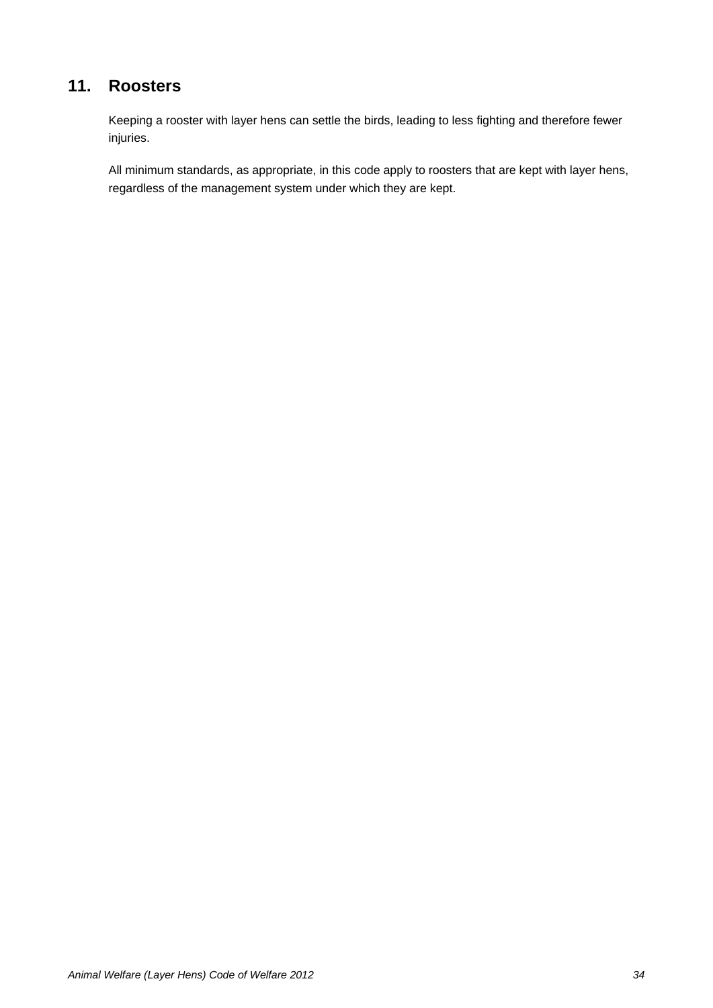## **11. Roosters**

Keeping a rooster with layer hens can settle the birds, leading to less fighting and therefore fewer injuries.

All minimum standards, as appropriate, in this code apply to roosters that are kept with layer hens, regardless of the management system under which they are kept.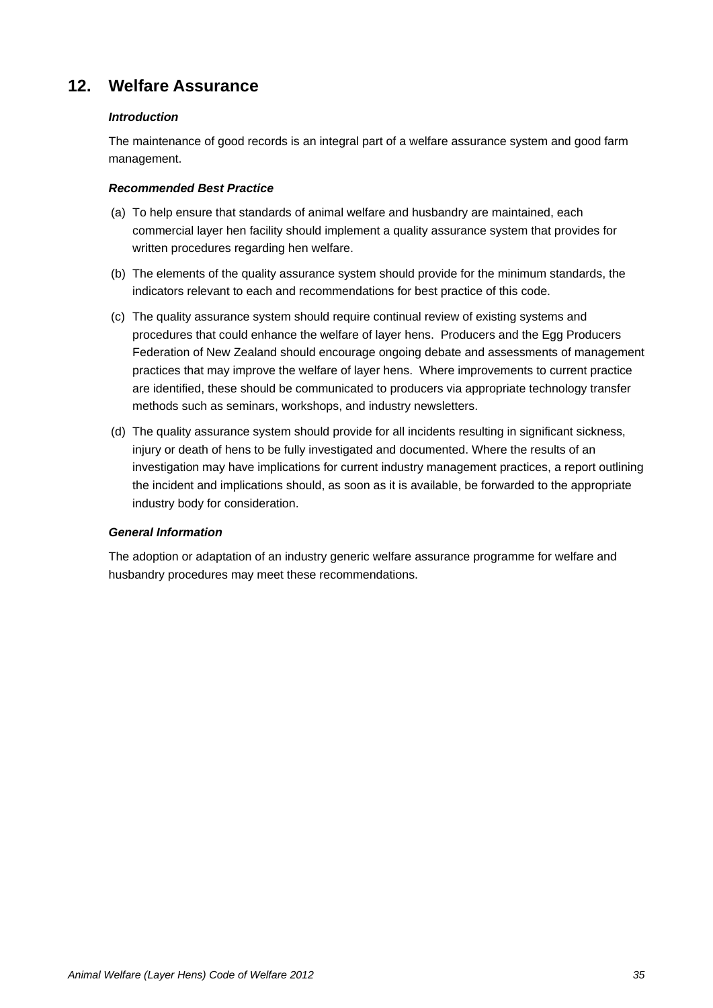## **12. Welfare Assurance**

#### *Introduction*

The maintenance of good records is an integral part of a welfare assurance system and good farm management.

#### *Recommended Best Practice*

- (a) To help ensure that standards of animal welfare and husbandry are maintained, each commercial layer hen facility should implement a quality assurance system that provides for written procedures regarding hen welfare.
- (b) The elements of the quality assurance system should provide for the minimum standards, the indicators relevant to each and recommendations for best practice of this code.
- (c) The quality assurance system should require continual review of existing systems and procedures that could enhance the welfare of layer hens. Producers and the Egg Producers Federation of New Zealand should encourage ongoing debate and assessments of management practices that may improve the welfare of layer hens. Where improvements to current practice are identified, these should be communicated to producers via appropriate technology transfer methods such as seminars, workshops, and industry newsletters.
- (d) The quality assurance system should provide for all incidents resulting in significant sickness, injury or death of hens to be fully investigated and documented. Where the results of an investigation may have implications for current industry management practices, a report outlining the incident and implications should, as soon as it is available, be forwarded to the appropriate industry body for consideration.

#### *General Information*

The adoption or adaptation of an industry generic welfare assurance programme for welfare and husbandry procedures may meet these recommendations.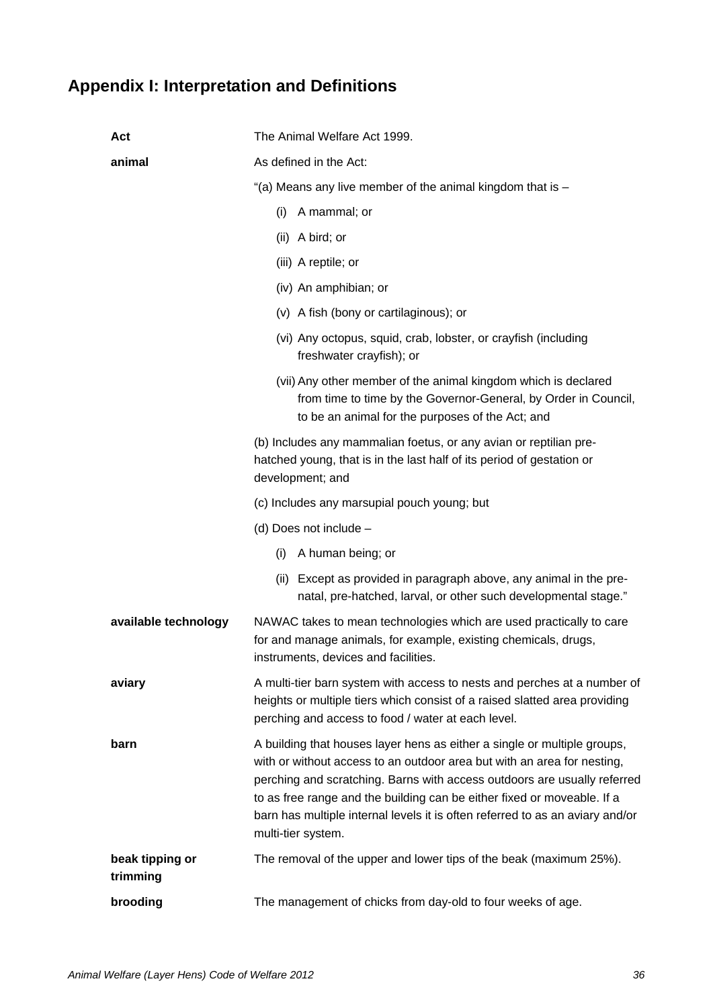## <span id="page-36-0"></span>**Appendix I: Interpretation and Definitions**

| Act                         | The Animal Welfare Act 1999.                                                                                                                                                                                                                                                                                                                                                                                      |  |
|-----------------------------|-------------------------------------------------------------------------------------------------------------------------------------------------------------------------------------------------------------------------------------------------------------------------------------------------------------------------------------------------------------------------------------------------------------------|--|
| animal                      | As defined in the Act:                                                                                                                                                                                                                                                                                                                                                                                            |  |
|                             | "(a) Means any live member of the animal kingdom that is $-$                                                                                                                                                                                                                                                                                                                                                      |  |
|                             | A mammal; or<br>(i)                                                                                                                                                                                                                                                                                                                                                                                               |  |
|                             | (ii) A bird; or                                                                                                                                                                                                                                                                                                                                                                                                   |  |
|                             | (iii) A reptile; or                                                                                                                                                                                                                                                                                                                                                                                               |  |
|                             | (iv) An amphibian; or                                                                                                                                                                                                                                                                                                                                                                                             |  |
|                             | (v) A fish (bony or cartilaginous); or                                                                                                                                                                                                                                                                                                                                                                            |  |
|                             | (vi) Any octopus, squid, crab, lobster, or crayfish (including<br>freshwater crayfish); or                                                                                                                                                                                                                                                                                                                        |  |
|                             | (vii) Any other member of the animal kingdom which is declared<br>from time to time by the Governor-General, by Order in Council,<br>to be an animal for the purposes of the Act; and                                                                                                                                                                                                                             |  |
|                             | (b) Includes any mammalian foetus, or any avian or reptilian pre-<br>hatched young, that is in the last half of its period of gestation or<br>development; and                                                                                                                                                                                                                                                    |  |
|                             | (c) Includes any marsupial pouch young; but                                                                                                                                                                                                                                                                                                                                                                       |  |
|                             | (d) Does not include -                                                                                                                                                                                                                                                                                                                                                                                            |  |
|                             | A human being; or<br>(i)                                                                                                                                                                                                                                                                                                                                                                                          |  |
|                             | (ii) Except as provided in paragraph above, any animal in the pre-<br>natal, pre-hatched, larval, or other such developmental stage."                                                                                                                                                                                                                                                                             |  |
| available technology        | NAWAC takes to mean technologies which are used practically to care<br>for and manage animals, for example, existing chemicals, drugs,<br>instruments, devices and facilities.                                                                                                                                                                                                                                    |  |
| aviary                      | A multi-tier barn system with access to nests and perches at a number of<br>heights or multiple tiers which consist of a raised slatted area providing<br>perching and access to food / water at each level.                                                                                                                                                                                                      |  |
| barn                        | A building that houses layer hens as either a single or multiple groups,<br>with or without access to an outdoor area but with an area for nesting,<br>perching and scratching. Barns with access outdoors are usually referred<br>to as free range and the building can be either fixed or moveable. If a<br>barn has multiple internal levels it is often referred to as an aviary and/or<br>multi-tier system. |  |
| beak tipping or<br>trimming | The removal of the upper and lower tips of the beak (maximum 25%).                                                                                                                                                                                                                                                                                                                                                |  |
| brooding                    | The management of chicks from day-old to four weeks of age.                                                                                                                                                                                                                                                                                                                                                       |  |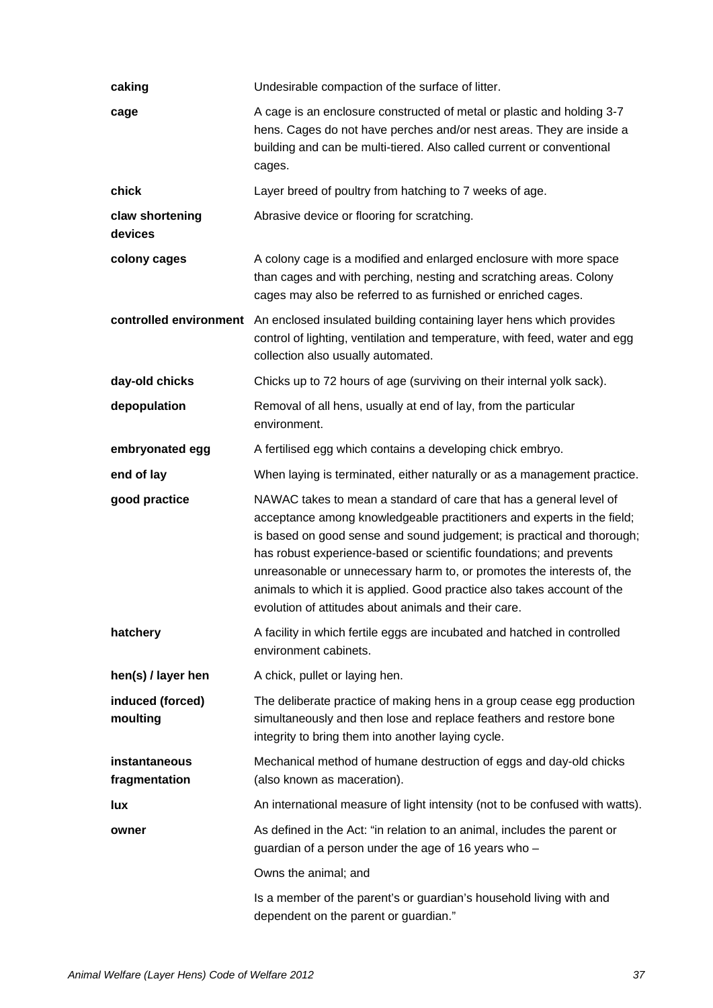| caking                         | Undesirable compaction of the surface of litter.                                                                                                                                                                                                                                                                                                                                                                                                                                                           |
|--------------------------------|------------------------------------------------------------------------------------------------------------------------------------------------------------------------------------------------------------------------------------------------------------------------------------------------------------------------------------------------------------------------------------------------------------------------------------------------------------------------------------------------------------|
| cage                           | A cage is an enclosure constructed of metal or plastic and holding 3-7<br>hens. Cages do not have perches and/or nest areas. They are inside a<br>building and can be multi-tiered. Also called current or conventional<br>cages.                                                                                                                                                                                                                                                                          |
| chick                          | Layer breed of poultry from hatching to 7 weeks of age.                                                                                                                                                                                                                                                                                                                                                                                                                                                    |
| claw shortening<br>devices     | Abrasive device or flooring for scratching.                                                                                                                                                                                                                                                                                                                                                                                                                                                                |
| colony cages                   | A colony cage is a modified and enlarged enclosure with more space<br>than cages and with perching, nesting and scratching areas. Colony<br>cages may also be referred to as furnished or enriched cages.                                                                                                                                                                                                                                                                                                  |
|                                | controlled environment An enclosed insulated building containing layer hens which provides<br>control of lighting, ventilation and temperature, with feed, water and egg<br>collection also usually automated.                                                                                                                                                                                                                                                                                             |
| day-old chicks                 | Chicks up to 72 hours of age (surviving on their internal yolk sack).                                                                                                                                                                                                                                                                                                                                                                                                                                      |
| depopulation                   | Removal of all hens, usually at end of lay, from the particular<br>environment.                                                                                                                                                                                                                                                                                                                                                                                                                            |
| embryonated egg                | A fertilised egg which contains a developing chick embryo.                                                                                                                                                                                                                                                                                                                                                                                                                                                 |
| end of lay                     | When laying is terminated, either naturally or as a management practice.                                                                                                                                                                                                                                                                                                                                                                                                                                   |
| good practice                  | NAWAC takes to mean a standard of care that has a general level of<br>acceptance among knowledgeable practitioners and experts in the field;<br>is based on good sense and sound judgement; is practical and thorough;<br>has robust experience-based or scientific foundations; and prevents<br>unreasonable or unnecessary harm to, or promotes the interests of, the<br>animals to which it is applied. Good practice also takes account of the<br>evolution of attitudes about animals and their care. |
| hatchery                       | A facility in which fertile eggs are incubated and hatched in controlled<br>environment cabinets.                                                                                                                                                                                                                                                                                                                                                                                                          |
| hen(s) / layer hen             | A chick, pullet or laying hen.                                                                                                                                                                                                                                                                                                                                                                                                                                                                             |
| induced (forced)<br>moulting   | The deliberate practice of making hens in a group cease egg production<br>simultaneously and then lose and replace feathers and restore bone<br>integrity to bring them into another laying cycle.                                                                                                                                                                                                                                                                                                         |
| instantaneous<br>fragmentation | Mechanical method of humane destruction of eggs and day-old chicks<br>(also known as maceration).                                                                                                                                                                                                                                                                                                                                                                                                          |
| <b>lux</b>                     | An international measure of light intensity (not to be confused with watts).                                                                                                                                                                                                                                                                                                                                                                                                                               |
| owner                          | As defined in the Act: "in relation to an animal, includes the parent or<br>guardian of a person under the age of 16 years who -                                                                                                                                                                                                                                                                                                                                                                           |
|                                | Owns the animal; and                                                                                                                                                                                                                                                                                                                                                                                                                                                                                       |
|                                | Is a member of the parent's or guardian's household living with and<br>dependent on the parent or guardian."                                                                                                                                                                                                                                                                                                                                                                                               |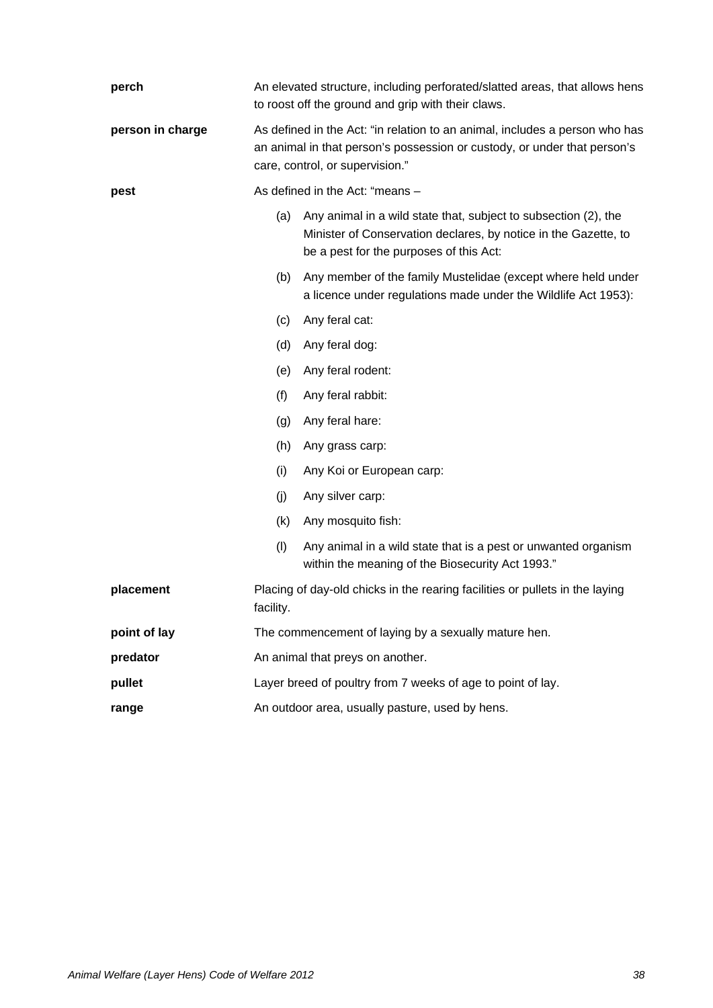| perch                  | An elevated structure, including perforated/slatted areas, that allows hens<br>to roost off the ground and grip with their claws.                                                          |                                                                                                                                                                               |  |
|------------------------|--------------------------------------------------------------------------------------------------------------------------------------------------------------------------------------------|-------------------------------------------------------------------------------------------------------------------------------------------------------------------------------|--|
| person in charge       | As defined in the Act: "in relation to an animal, includes a person who has<br>an animal in that person's possession or custody, or under that person's<br>care, control, or supervision." |                                                                                                                                                                               |  |
| pest                   | As defined in the Act: "means -                                                                                                                                                            |                                                                                                                                                                               |  |
|                        | (a)                                                                                                                                                                                        | Any animal in a wild state that, subject to subsection (2), the<br>Minister of Conservation declares, by notice in the Gazette, to<br>be a pest for the purposes of this Act: |  |
|                        | (b)                                                                                                                                                                                        | Any member of the family Mustelidae (except where held under<br>a licence under regulations made under the Wildlife Act 1953):                                                |  |
|                        | (c)                                                                                                                                                                                        | Any feral cat:                                                                                                                                                                |  |
|                        | (d)                                                                                                                                                                                        | Any feral dog:                                                                                                                                                                |  |
|                        | (e)                                                                                                                                                                                        | Any feral rodent:                                                                                                                                                             |  |
|                        | (f)                                                                                                                                                                                        | Any feral rabbit:                                                                                                                                                             |  |
|                        | (g)                                                                                                                                                                                        | Any feral hare:                                                                                                                                                               |  |
|                        | (h)                                                                                                                                                                                        | Any grass carp:                                                                                                                                                               |  |
|                        | (i)                                                                                                                                                                                        | Any Koi or European carp:                                                                                                                                                     |  |
|                        | (j)                                                                                                                                                                                        | Any silver carp:                                                                                                                                                              |  |
|                        | (k)                                                                                                                                                                                        | Any mosquito fish:                                                                                                                                                            |  |
|                        | (1)                                                                                                                                                                                        | Any animal in a wild state that is a pest or unwanted organism<br>within the meaning of the Biosecurity Act 1993."                                                            |  |
| placement<br>facility. |                                                                                                                                                                                            | Placing of day-old chicks in the rearing facilities or pullets in the laying                                                                                                  |  |
| point of lay           | The commencement of laying by a sexually mature hen.                                                                                                                                       |                                                                                                                                                                               |  |
| predator               | An animal that preys on another.                                                                                                                                                           |                                                                                                                                                                               |  |
| pullet                 | Layer breed of poultry from 7 weeks of age to point of lay.                                                                                                                                |                                                                                                                                                                               |  |
| range                  | An outdoor area, usually pasture, used by hens.                                                                                                                                            |                                                                                                                                                                               |  |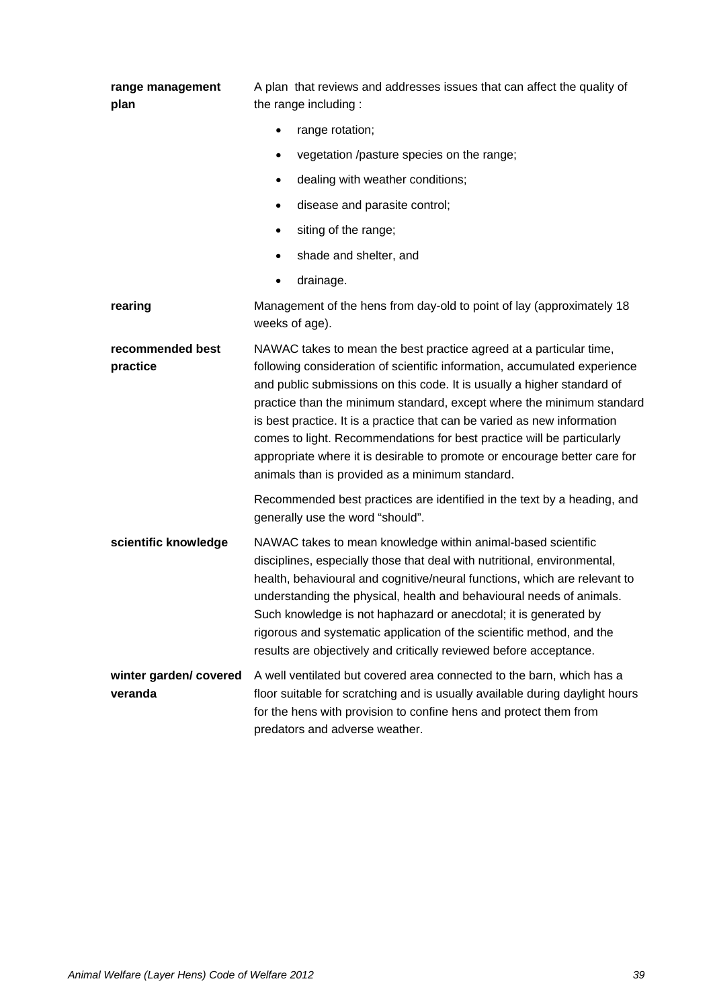| range management<br>plan         | A plan that reviews and addresses issues that can affect the quality of<br>the range including:                                                                                                                                                                                                                                                                                                                                                                                                                                                                                           |  |
|----------------------------------|-------------------------------------------------------------------------------------------------------------------------------------------------------------------------------------------------------------------------------------------------------------------------------------------------------------------------------------------------------------------------------------------------------------------------------------------------------------------------------------------------------------------------------------------------------------------------------------------|--|
|                                  | range rotation;                                                                                                                                                                                                                                                                                                                                                                                                                                                                                                                                                                           |  |
|                                  | vegetation /pasture species on the range;                                                                                                                                                                                                                                                                                                                                                                                                                                                                                                                                                 |  |
|                                  | dealing with weather conditions;                                                                                                                                                                                                                                                                                                                                                                                                                                                                                                                                                          |  |
|                                  | disease and parasite control;                                                                                                                                                                                                                                                                                                                                                                                                                                                                                                                                                             |  |
|                                  | siting of the range;<br>$\bullet$                                                                                                                                                                                                                                                                                                                                                                                                                                                                                                                                                         |  |
|                                  | shade and shelter, and                                                                                                                                                                                                                                                                                                                                                                                                                                                                                                                                                                    |  |
|                                  | drainage.                                                                                                                                                                                                                                                                                                                                                                                                                                                                                                                                                                                 |  |
| rearing                          | Management of the hens from day-old to point of lay (approximately 18<br>weeks of age).                                                                                                                                                                                                                                                                                                                                                                                                                                                                                                   |  |
| recommended best<br>practice     | NAWAC takes to mean the best practice agreed at a particular time,<br>following consideration of scientific information, accumulated experience<br>and public submissions on this code. It is usually a higher standard of<br>practice than the minimum standard, except where the minimum standard<br>is best practice. It is a practice that can be varied as new information<br>comes to light. Recommendations for best practice will be particularly<br>appropriate where it is desirable to promote or encourage better care for<br>animals than is provided as a minimum standard. |  |
|                                  | Recommended best practices are identified in the text by a heading, and<br>generally use the word "should".                                                                                                                                                                                                                                                                                                                                                                                                                                                                               |  |
| scientific knowledge             | NAWAC takes to mean knowledge within animal-based scientific<br>disciplines, especially those that deal with nutritional, environmental,<br>health, behavioural and cognitive/neural functions, which are relevant to<br>understanding the physical, health and behavioural needs of animals.<br>Such knowledge is not haphazard or anecdotal; it is generated by<br>rigorous and systematic application of the scientific method, and the<br>results are objectively and critically reviewed before acceptance.                                                                          |  |
| winter garden/covered<br>veranda | A well ventilated but covered area connected to the barn, which has a<br>floor suitable for scratching and is usually available during daylight hours<br>for the hens with provision to confine hens and protect them from<br>predators and adverse weather.                                                                                                                                                                                                                                                                                                                              |  |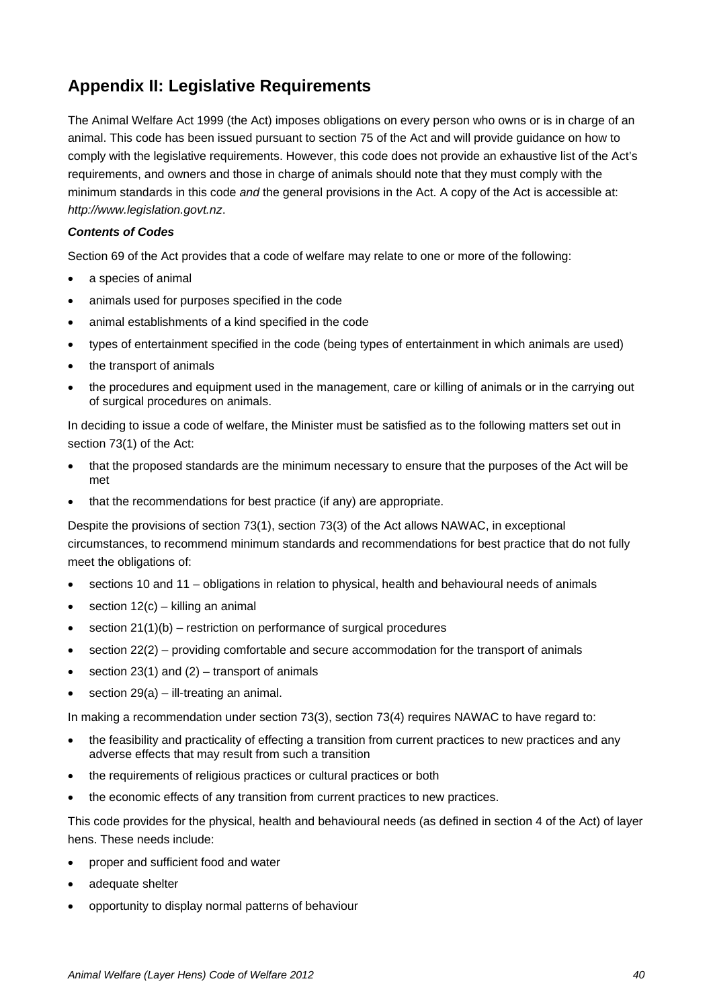## **Appendix II: Legislative Requirements**

The Animal Welfare Act 1999 (the Act) imposes obligations on every person who owns or is in charge of an animal. This code has been issued pursuant to section 75 of the Act and will provide guidance on how to comply with the legislative requirements. However, this code does not provide an exhaustive list of the Act's requirements, and owners and those in charge of animals should note that they must comply with the minimum standards in this code *and* the general provisions in the Act. A copy of the Act is accessible at: *[http://www.legislation.govt.nz](http://www.legislation.govt.nz/)*.

#### *Contents of Codes*

Section 69 of the Act provides that a code of welfare may relate to one or more of the following:

- a species of animal
- animals used for purposes specified in the code
- animal establishments of a kind specified in the code
- types of entertainment specified in the code (being types of entertainment in which animals are used)
- the transport of animals
- the procedures and equipment used in the management, care or killing of animals or in the carrying out of surgical procedures on animals.

In deciding to issue a code of welfare, the Minister must be satisfied as to the following matters set out in section 73(1) of the Act:

- that the proposed standards are the minimum necessary to ensure that the purposes of the Act will be met
- that the recommendations for best practice (if any) are appropriate.

Despite the provisions of section 73(1), section 73(3) of the Act allows NAWAC, in exceptional circumstances, to recommend minimum standards and recommendations for best practice that do not fully meet the obligations of:

- sections 10 and 11 obligations in relation to physical, health and behavioural needs of animals
- section  $12(c)$  killing an animal
- $\bullet$  section 21(1)(b) restriction on performance of surgical procedures
- section 22(2) providing comfortable and secure accommodation for the transport of animals
- section 23(1) and  $(2)$  transport of animals
- section  $29(a) 1$ ll-treating an animal.

In making a recommendation under section 73(3), section 73(4) requires NAWAC to have regard to:

- the feasibility and practicality of effecting a transition from current practices to new practices and any adverse effects that may result from such a transition
- the requirements of religious practices or cultural practices or both
- the economic effects of any transition from current practices to new practices.

This code provides for the physical, health and behavioural needs (as defined in section 4 of the Act) of layer hens. These needs include:

- proper and sufficient food and water
- adequate shelter
- opportunity to display normal patterns of behaviour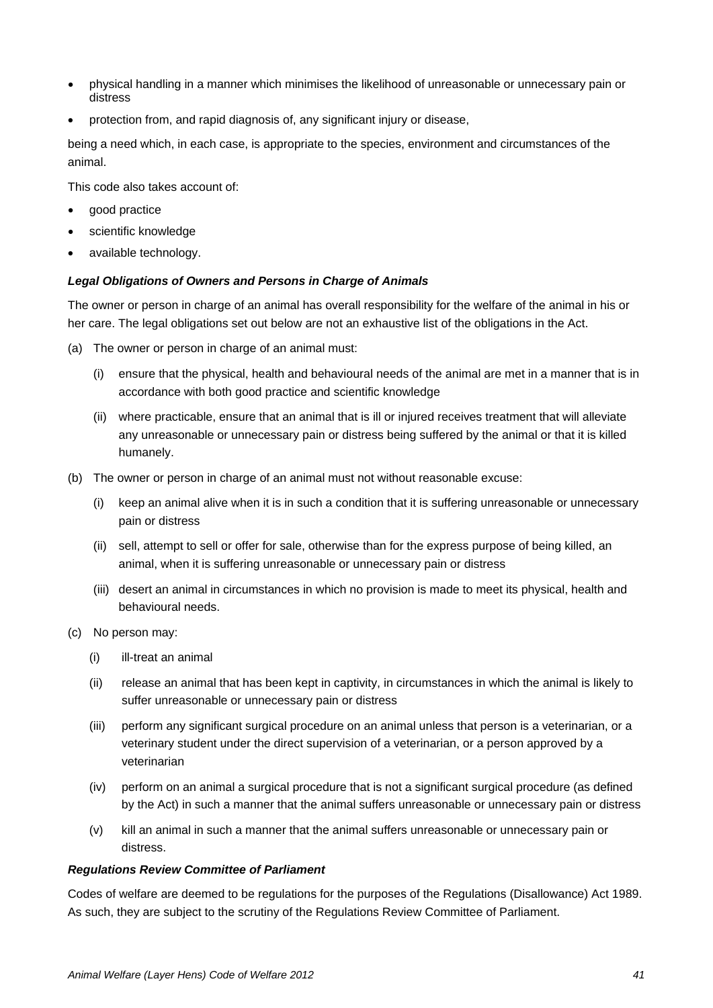- physical handling in a manner which minimises the likelihood of unreasonable or unnecessary pain or distress
- protection from, and rapid diagnosis of, any significant injury or disease,

being a need which, in each case, is appropriate to the species, environment and circumstances of the animal.

This code also takes account of:

- good practice
- scientific knowledge
- available technology.

#### *Legal Obligations of Owners and Persons in Charge of Animals*

The owner or person in charge of an animal has overall responsibility for the welfare of the animal in his or her care. The legal obligations set out below are not an exhaustive list of the obligations in the Act.

- (a) The owner or person in charge of an animal must:
	- (i) ensure that the physical, health and behavioural needs of the animal are met in a manner that is in accordance with both good practice and scientific knowledge
	- (ii) where practicable, ensure that an animal that is ill or injured receives treatment that will alleviate any unreasonable or unnecessary pain or distress being suffered by the animal or that it is killed humanely.
- (b) The owner or person in charge of an animal must not without reasonable excuse:
	- (i) keep an animal alive when it is in such a condition that it is suffering unreasonable or unnecessary pain or distress
	- (ii) sell, attempt to sell or offer for sale, otherwise than for the express purpose of being killed, an animal, when it is suffering unreasonable or unnecessary pain or distress
	- (iii) desert an animal in circumstances in which no provision is made to meet its physical, health and behavioural needs.
- (c) No person may:
	- (i) ill-treat an animal
	- (ii) release an animal that has been kept in captivity, in circumstances in which the animal is likely to suffer unreasonable or unnecessary pain or distress
	- (iii) perform any significant surgical procedure on an animal unless that person is a veterinarian, or a veterinary student under the direct supervision of a veterinarian, or a person approved by a veterinarian
	- (iv) perform on an animal a surgical procedure that is not a significant surgical procedure (as defined by the Act) in such a manner that the animal suffers unreasonable or unnecessary pain or distress
	- (v) kill an animal in such a manner that the animal suffers unreasonable or unnecessary pain or distress.

#### *Regulations Review Committee of Parliament*

Codes of welfare are deemed to be regulations for the purposes of the Regulations (Disallowance) Act 1989. As such, they are subject to the scrutiny of the Regulations Review Committee of Parliament.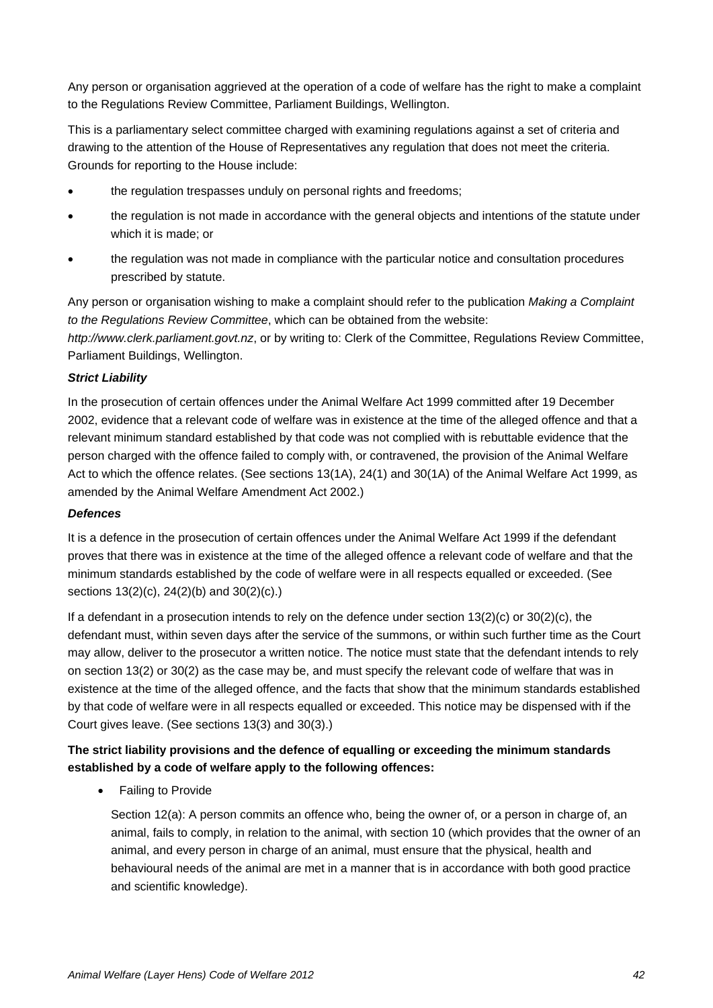Any person or organisation aggrieved at the operation of a code of welfare has the right to make a complaint to the Regulations Review Committee, Parliament Buildings, Wellington.

This is a parliamentary select committee charged with examining regulations against a set of criteria and drawing to the attention of the House of Representatives any regulation that does not meet the criteria. Grounds for reporting to the House include:

- the regulation trespasses unduly on personal rights and freedoms;
- the regulation is not made in accordance with the general objects and intentions of the statute under which it is made; or
- the regulation was not made in compliance with the particular notice and consultation procedures prescribed by statute.

Any person or organisation wishing to make a complaint should refer to the publication *Making a Complaint to the Regulations Review Committee*, which can be obtained from the website: *http://www.clerk.parliament.govt.nz*, or by writing to: Clerk of the Committee, Regulations Review Committee, Parliament Buildings, Wellington.

#### *Strict Liability*

In the prosecution of certain offences under the Animal Welfare Act 1999 committed after 19 December 2002, evidence that a relevant code of welfare was in existence at the time of the alleged offence and that a relevant minimum standard established by that code was not complied with is rebuttable evidence that the person charged with the offence failed to comply with, or contravened, the provision of the Animal Welfare Act to which the offence relates. (See sections 13(1A), 24(1) and 30(1A) of the Animal Welfare Act 1999, as amended by the Animal Welfare Amendment Act 2002.)

#### *Defences*

It is a defence in the prosecution of certain offences under the Animal Welfare Act 1999 if the defendant proves that there was in existence at the time of the alleged offence a relevant code of welfare and that the minimum standards established by the code of welfare were in all respects equalled or exceeded. (See sections 13(2)(c), 24(2)(b) and 30(2)(c).)

If a defendant in a prosecution intends to rely on the defence under section  $13(2)(c)$  or  $30(2)(c)$ , the defendant must, within seven days after the service of the summons, or within such further time as the Court may allow, deliver to the prosecutor a written notice. The notice must state that the defendant intends to rely on section 13(2) or 30(2) as the case may be, and must specify the relevant code of welfare that was in existence at the time of the alleged offence, and the facts that show that the minimum standards established by that code of welfare were in all respects equalled or exceeded. This notice may be dispensed with if the Court gives leave. (See sections 13(3) and 30(3).)

#### **The strict liability provisions and the defence of equalling or exceeding the minimum standards established by a code of welfare apply to the following offences:**

• Failing to Provide

Section 12(a): A person commits an offence who, being the owner of, or a person in charge of, an animal, fails to comply, in relation to the animal, with section 10 (which provides that the owner of an animal, and every person in charge of an animal, must ensure that the physical, health and behavioural needs of the animal are met in a manner that is in accordance with both good practice and scientific knowledge).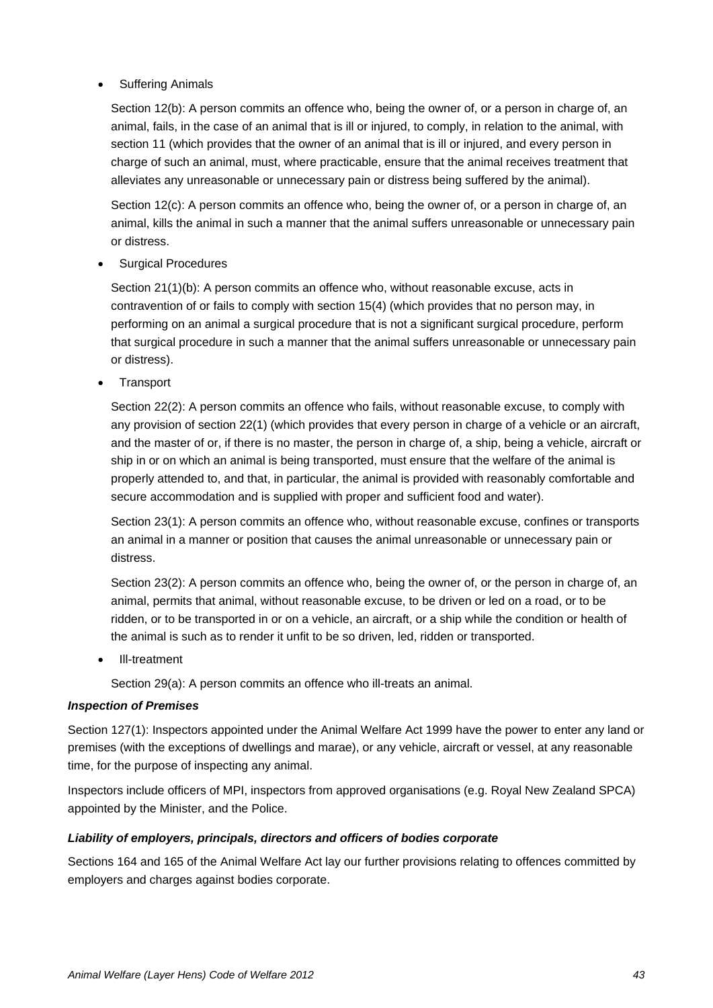#### **Suffering Animals**

Section 12(b): A person commits an offence who, being the owner of, or a person in charge of, an animal, fails, in the case of an animal that is ill or injured, to comply, in relation to the animal, with section 11 (which provides that the owner of an animal that is ill or injured, and every person in charge of such an animal, must, where practicable, ensure that the animal receives treatment that alleviates any unreasonable or unnecessary pain or distress being suffered by the animal).

Section 12(c): A person commits an offence who, being the owner of, or a person in charge of, an animal, kills the animal in such a manner that the animal suffers unreasonable or unnecessary pain or distress.

• Surgical Procedures

Section 21(1)(b): A person commits an offence who, without reasonable excuse, acts in contravention of or fails to comply with section 15(4) (which provides that no person may, in performing on an animal a surgical procedure that is not a significant surgical procedure, perform that surgical procedure in such a manner that the animal suffers unreasonable or unnecessary pain or distress).

**Transport** 

Section 22(2): A person commits an offence who fails, without reasonable excuse, to comply with any provision of section 22(1) (which provides that every person in charge of a vehicle or an aircraft, and the master of or, if there is no master, the person in charge of, a ship, being a vehicle, aircraft or ship in or on which an animal is being transported, must ensure that the welfare of the animal is properly attended to, and that, in particular, the animal is provided with reasonably comfortable and secure accommodation and is supplied with proper and sufficient food and water).

Section 23(1): A person commits an offence who, without reasonable excuse, confines or transports an animal in a manner or position that causes the animal unreasonable or unnecessary pain or distress.

Section 23(2): A person commits an offence who, being the owner of, or the person in charge of, an animal, permits that animal, without reasonable excuse, to be driven or led on a road, or to be ridden, or to be transported in or on a vehicle, an aircraft, or a ship while the condition or health of the animal is such as to render it unfit to be so driven, led, ridden or transported.

• Ill-treatment

Section 29(a): A person commits an offence who ill-treats an animal.

#### *Inspection of Premises*

Section 127(1): Inspectors appointed under the Animal Welfare Act 1999 have the power to enter any land or premises (with the exceptions of dwellings and marae), or any vehicle, aircraft or vessel, at any reasonable time, for the purpose of inspecting any animal.

Inspectors include officers of MPI, inspectors from approved organisations (e.g. Royal New Zealand SPCA) appointed by the Minister, and the Police.

#### *Liability of employers, principals, directors and officers of bodies corporate*

Sections 164 and 165 of the Animal Welfare Act lay our further provisions relating to offences committed by employers and charges against bodies corporate.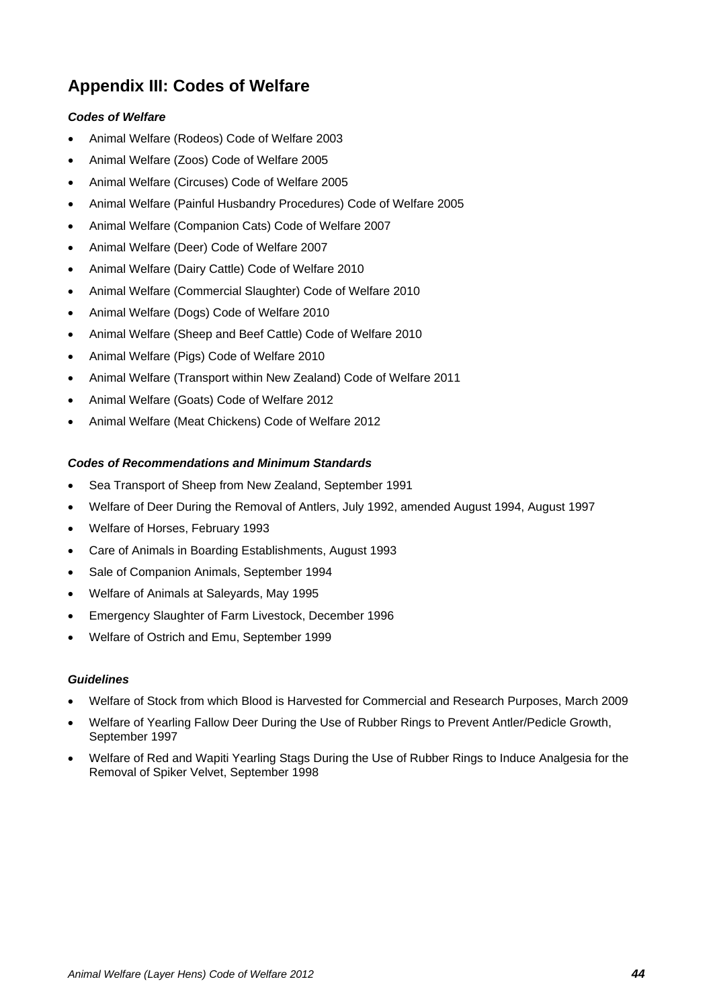## **Appendix III: Codes of Welfare**

#### *Codes of Welfare*

- Animal Welfare (Rodeos) Code of Welfare 2003
- Animal Welfare (Zoos) Code of Welfare 2005
- Animal Welfare (Circuses) Code of Welfare 2005
- Animal Welfare (Painful Husbandry Procedures) Code of Welfare 2005
- Animal Welfare (Companion Cats) Code of Welfare 2007
- Animal Welfare (Deer) Code of Welfare 2007
- Animal Welfare (Dairy Cattle) Code of Welfare 2010
- Animal Welfare (Commercial Slaughter) Code of Welfare 2010
- Animal Welfare (Dogs) Code of Welfare 2010
- Animal Welfare (Sheep and Beef Cattle) Code of Welfare 2010
- Animal Welfare (Pigs) Code of Welfare 2010
- Animal Welfare (Transport within New Zealand) Code of Welfare 2011
- Animal Welfare (Goats) Code of Welfare 2012
- Animal Welfare (Meat Chickens) Code of Welfare 2012

#### *Codes of Recommendations and Minimum Standards*

- Sea Transport of Sheep from New Zealand, September 1991
- Welfare of Deer During the Removal of Antlers, July 1992, amended August 1994, August 1997
- Welfare of Horses, February 1993
- Care of Animals in Boarding Establishments, August 1993
- Sale of Companion Animals, September 1994
- Welfare of Animals at Saleyards, May 1995
- Emergency Slaughter of Farm Livestock, December 1996
- Welfare of Ostrich and Emu, September 1999

#### *Guidelines*

- Welfare of Stock from which Blood is Harvested for Commercial and Research Purposes, March 2009
- Welfare of Yearling Fallow Deer During the Use of Rubber Rings to Prevent Antler/Pedicle Growth, September 1997
- Welfare of Red and Wapiti Yearling Stags During the Use of Rubber Rings to Induce Analgesia for the Removal of Spiker Velvet, September 1998